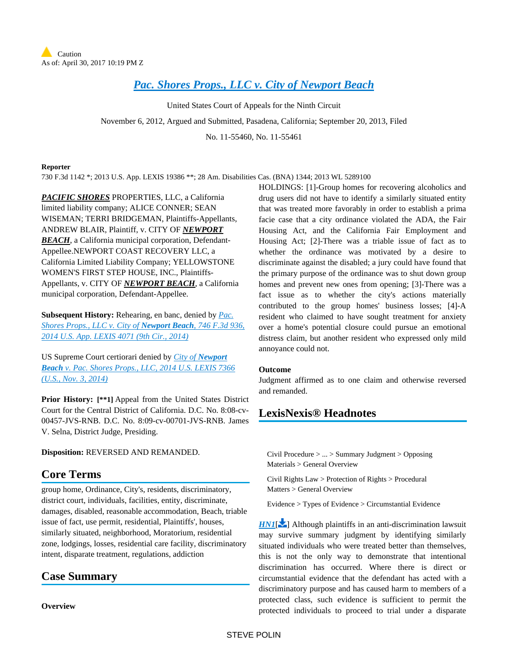# *[Pac. Shores Props., LLC v. City of Newport Beach](https://advance.lexis.com/api/document?collection=cases&id=urn:contentItem:59D4-S301-F04K-V0HG-00000-00&context=)*

United States Court of Appeals for the Ninth Circuit

November 6, 2012, Argued and Submitted, Pasadena, California; September 20, 2013, Filed

No. 11-55460, No. 11-55461

#### **Reporter**

730 F.3d 1142 \*; 2013 U.S. App. LEXIS 19386 \*\*; 28 Am. Disabilities Cas. (BNA) 1344; 2013 WL 5289100

*PACIFIC SHORES* PROPERTIES, LLC, a California limited liability company; ALICE CONNER; SEAN WISEMAN; TERRI BRIDGEMAN, Plaintiffs-Appellants, ANDREW BLAIR, Plaintiff, v. CITY OF *NEWPORT BEACH*, a California municipal corporation, Defendant-Appellee.NEWPORT COAST RECOVERY LLC, a California Limited Liability Company; YELLOWSTONE WOMEN'S FIRST STEP HOUSE, INC., Plaintiffs-Appellants, v. CITY OF *NEWPORT BEACH*, a California municipal corporation, Defendant-Appellee.

**Subsequent History:** Rehearing, en banc, denied by *[Pac.](https://advance.lexis.com/api/document?collection=cases&id=urn:contentItem:5BNB-42T1-F04K-V0FW-00000-00&context=)  [Shores Props., LLC v. City of](https://advance.lexis.com/api/document?collection=cases&id=urn:contentItem:5BNB-42T1-F04K-V0FW-00000-00&context=) Newport Beach, 746 F.3d 936, [2014 U.S. App. LEXIS 4071 \(9th Cir., 2014\)](https://advance.lexis.com/api/document?collection=cases&id=urn:contentItem:5BNB-42T1-F04K-V0FW-00000-00&context=)*

US Supreme Court certiorari denied by *City of [Newport](https://advance.lexis.com/api/document?collection=cases&id=urn:contentItem:5DHB-H2D1-F04K-F363-00000-00&context=)  Beach [v. Pac. Shores Props., LLC, 2014 U.S. LEXIS 7366](https://advance.lexis.com/api/document?collection=cases&id=urn:contentItem:5DHB-H2D1-F04K-F363-00000-00&context=)  [\(U.S., Nov. 3, 2014\)](https://advance.lexis.com/api/document?collection=cases&id=urn:contentItem:5DHB-H2D1-F04K-F363-00000-00&context=)*

**Prior History:** [\*\*1] Appeal from the United States District Court for the Central District of California. D.C. No. 8:08-cv-00457-JVS-RNB. D.C. No. 8:09-cv-00701-JVS-RNB. James V. Selna, District Judge, Presiding.

**Disposition:** REVERSED AND REMANDED.

## **Core Terms**

group home, Ordinance, City's, residents, discriminatory, district court, individuals, facilities, entity, discriminate, damages, disabled, reasonable accommodation, Beach, triable issue of fact, use permit, residential, Plaintiffs', houses, similarly situated, neighborhood, Moratorium, residential zone, lodgings, losses, residential care facility, discriminatory intent, disparate treatment, regulations, addiction

## **Case Summary**

**Overview**

HOLDINGS: [1]-Group homes for recovering alcoholics and drug users did not have to identify a similarly situated entity that was treated more favorably in order to establish a prima facie case that a city ordinance violated the ADA, the Fair Housing Act, and the California Fair Employment and Housing Act; [2]-There was a triable issue of fact as to whether the ordinance was motivated by a desire to discriminate against the disabled; a jury could have found that the primary purpose of the ordinance was to shut down group homes and prevent new ones from opening; [3]-There was a fact issue as to whether the city's actions materially contributed to the group homes' business losses; [4]-A resident who claimed to have sought treatment for anxiety over a home's potential closure could pursue an emotional distress claim, but another resident who expressed only mild annoyance could not.

### **Outcome**

Judgment affirmed as to one claim and otherwise reversed and remanded.

## <span id="page-0-0"></span>**LexisNexis® Headnotes**

Civil Procedure > ... > Summary Judgment > Opposing Materials > General Overview

Civil Rights Law > Protection of Rights > Procedural Matters > General Overview

Evidence > Types of Evidence > Circumstantial Evidence

 $HNI$  Although plaintiffs in an anti-discrimination lawsuit may survive summary judgment by identifying similarly situated individuals who were treated better than themselves, this is not the only way to demonstrate that intentional discrimination has occurred. Where there is direct or circumstantial evidence that the defendant has acted with a discriminatory purpose and has caused harm to members of a protected class, such evidence is sufficient to permit the protected individuals to proceed to trial under a disparate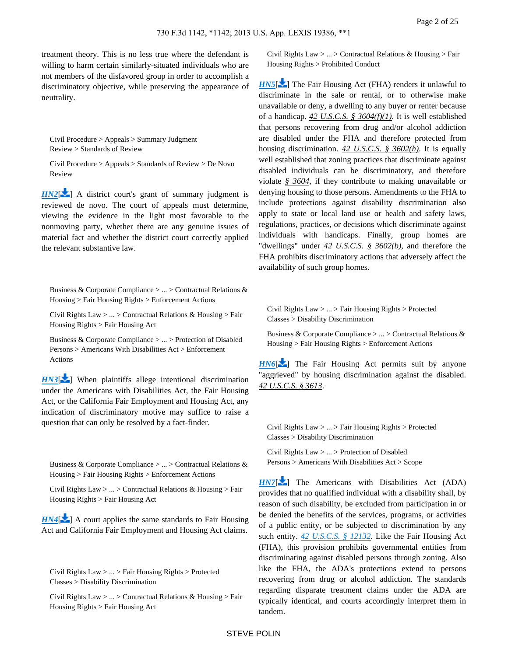treatment theory. This is no less true where the defendant is willing to harm certain similarly-situated individuals who are not members of the disfavored group in order to accomplish a discriminatory objective, while preserving the appearance of neutrality.

<span id="page-1-0"></span>Civil Procedure > Appeals > Summary Judgment Review > Standards of Review

Civil Procedure > Appeals > Standards of Review > De Novo Review

*[HN2](https://advance.lexis.com/api/document?collection=cases&id=urn:contentItem:59D4-S301-F04K-V0HG-00000-00&context=&link=LNHNREFclscc2)*[\[](#page-13-0) $\blacktriangleright$ ] A district court's grant of summary judgment is reviewed de novo. The court of appeals must determine, viewing the evidence in the light most favorable to the nonmoving party, whether there are any genuine issues of material fact and whether the district court correctly applied the relevant substantive law.

Business & Corporate Compliance > ... > Contractual Relations & Housing > Fair Housing Rights > Enforcement Actions

Civil Rights Law > ... > Contractual Relations & Housing > Fair Housing Rights > Fair Housing Act

Business & Corporate Compliance > ... > Protection of Disabled Persons > Americans With Disabilities Act > Enforcement Actions

**[HN3](https://advance.lexis.com/api/document?collection=cases&id=urn:contentItem:59D4-S301-F04K-V0HG-00000-00&context=&link=LNHNREFclscc3)[\[](#page-13-1)** ] When plaintiffs allege intentional discrimination under the Americans with Disabilities Act, the Fair Housing Act, or the California Fair Employment and Housing Act, any indication of discriminatory motive may suffice to raise a question that can only be resolved by a fact-finder.

<span id="page-1-2"></span>Business & Corporate Compliance > ... > Contractual Relations & Housing > Fair Housing Rights > Enforcement Actions

Civil Rights Law > ... > Contractual Relations & Housing > Fair Housing Rights > Fair Housing Act

<span id="page-1-1"></span>**[HN4](https://advance.lexis.com/api/document?collection=cases&id=urn:contentItem:59D4-S301-F04K-V0HG-00000-00&context=&link=LNHNREFclscc4)[\[](#page-13-2)** ] A court applies the same standards to Fair Housing Act and California Fair Employment and Housing Act claims.

Civil Rights Law > ... > Fair Housing Rights > Protected Classes > Disability Discrimination

Civil Rights Law > ... > Contractual Relations & Housing > Fair Housing Rights > Fair Housing Act

Civil Rights Law > ... > Contractual Relations & Housing > Fair Housing Rights > Prohibited Conduct

*[HN5](https://advance.lexis.com/api/document?collection=cases&id=urn:contentItem:59D4-S301-F04K-V0HG-00000-00&context=&link=LNHNREFclscc5)*<sup>[\[](#page-13-3) $\angle$ </sup>] The Fair Housing Act (FHA) renders it unlawful to discriminate in the sale or rental, or to otherwise make unavailable or deny, a dwelling to any buyer or renter because of a handicap. *42 U.S.C.S. § 3604(f)(1)*. It is well established that persons recovering from drug and/or alcohol addiction are disabled under the FHA and therefore protected from housing discrimination. *42 U.S.C.S. § 3602(h)*. It is equally well established that zoning practices that discriminate against disabled individuals can be discriminatory, and therefore violate *§ 3604*, if they contribute to making unavailable or denying housing to those persons. Amendments to the FHA to include protections against disability discrimination also apply to state or local land use or health and safety laws, regulations, practices, or decisions which discriminate against individuals with handicaps. Finally, group homes are "dwellings" under *42 U.S.C.S. § 3602(b)*, and therefore the FHA prohibits discriminatory actions that adversely affect the availability of such group homes.

<span id="page-1-4"></span>Civil Rights Law > ... > Fair Housing Rights > Protected Classes > Disability Discrimination

Business & Corporate Compliance > ... > Contractual Relations & Housing > Fair Housing Rights > Enforcement Actions

<span id="page-1-3"></span>**[HN6](https://advance.lexis.com/api/document?collection=cases&id=urn:contentItem:59D4-S301-F04K-V0HG-00000-00&context=&link=LNHNREFclscc6)<sup>[\[](#page-13-4) 1</sup>]** The Fair Housing Act permits suit by anyone "aggrieved" by housing discrimination against the disabled. *42 U.S.C.S. § 3613*.

Civil Rights Law > ... > Fair Housing Rights > Protected Classes > Disability Discrimination

Civil Rights Law > ... > Protection of Disabled Persons > Americans With Disabilities Act > Scope

*[HN7](https://advance.lexis.com/api/document?collection=cases&id=urn:contentItem:59D4-S301-F04K-V0HG-00000-00&context=&link=LNHNREFclscc7)*<sup>[\[](#page-13-5)22]</sup> The Americans with Disabilities Act (ADA) provides that no qualified individual with a disability shall, by reason of such disability, be excluded from participation in or be denied the benefits of the services, programs, or activities of a public entity, or be subjected to discrimination by any such entity. *[42 U.S.C.S. § 12132](https://advance.lexis.com/api/document?collection=statutes-legislation&id=urn:contentItem:4YF7-GN41-NRF4-40JX-00000-00&context=)*. Like the Fair Housing Act (FHA), this provision prohibits governmental entities from discriminating against disabled persons through zoning. Also like the FHA, the ADA's protections extend to persons recovering from drug or alcohol addiction. The standards regarding disparate treatment claims under the ADA are typically identical, and courts accordingly interpret them in tandem.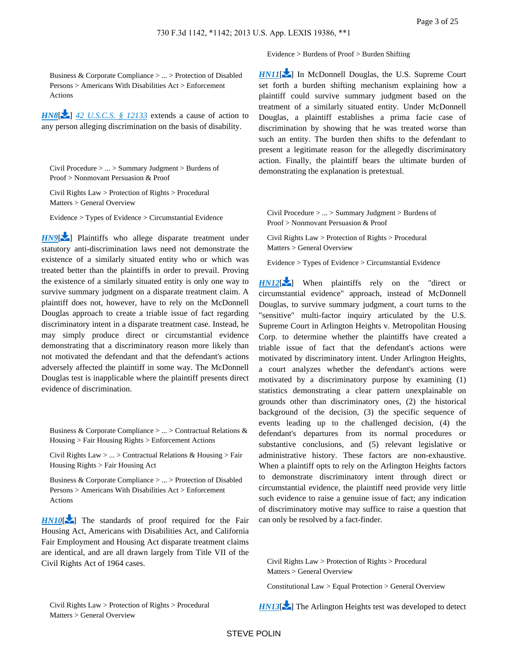## <span id="page-2-0"></span>Business & Corporate Compliance > ... > Protection of Disabled Persons > Americans With Disabilities Act > Enforcement Actions

*[HN8](https://advance.lexis.com/api/document?collection=cases&id=urn:contentItem:59D4-S301-F04K-V0HG-00000-00&context=&link=LNHNREFclscc8)*<sup> $\vert$ </sup> *42 U.S.C.S.* § 12133 extends a cause of action to any person alleging discrimination on the basis of disability.

Civil Procedure > ... > Summary Judgment > Burdens of Proof > Nonmovant Persuasion & Proof

Civil Rights Law > Protection of Rights > Procedural Matters > General Overview

Evidence > Types of Evidence > Circumstantial Evidence

*[HN9](https://advance.lexis.com/api/document?collection=cases&id=urn:contentItem:59D4-S301-F04K-V0HG-00000-00&context=&link=LNHNREFclscc9)*<sup>[\[](#page-14-0)2</sup>] Plaintiffs who allege disparate treatment under statutory anti-discrimination laws need not demonstrate the existence of a similarly situated entity who or which was treated better than the plaintiffs in order to prevail. Proving the existence of a similarly situated entity is only one way to survive summary judgment on a disparate treatment claim. A plaintiff does not, however, have to rely on the McDonnell Douglas approach to create a triable issue of fact regarding discriminatory intent in a disparate treatment case. Instead, he may simply produce direct or circumstantial evidence demonstrating that a discriminatory reason more likely than not motivated the defendant and that the defendant's actions adversely affected the plaintiff in some way. The McDonnell Douglas test is inapplicable where the plaintiff presents direct evidence of discrimination.

Business & Corporate Compliance > ... > Contractual Relations & Housing > Fair Housing Rights > Enforcement Actions

Civil Rights Law > ... > Contractual Relations & Housing > Fair Housing Rights > Fair Housing Act

Business & Corporate Compliance > ... > Protection of Disabled Persons > Americans With Disabilities Act > Enforcement Actions

*[HN10](https://advance.lexis.com/api/document?collection=cases&id=urn:contentItem:59D4-S301-F04K-V0HG-00000-00&context=&link=LNHNREFclscc10)*<sup>[\[](#page-14-1)2]</sup> The standards of proof required for the Fair Housing Act, Americans with Disabilities Act, and California Fair Employment and Housing Act disparate treatment claims are identical, and are all drawn largely from Title VII of the Civil Rights Act of 1964 cases.

#### Evidence > Burdens of Proof > Burden Shifting

*[HN11](https://advance.lexis.com/api/document?collection=cases&id=urn:contentItem:59D4-S301-F04K-V0HG-00000-00&context=&link=LNHNREFclscc11)*<sup>[\[](#page-14-2)2]</sup> In McDonnell Douglas, the U.S. Supreme Court set forth a burden shifting mechanism explaining how a plaintiff could survive summary judgment based on the treatment of a similarly situated entity. Under McDonnell Douglas, a plaintiff establishes a prima facie case of discrimination by showing that he was treated worse than such an entity. The burden then shifts to the defendant to present a legitimate reason for the allegedly discriminatory action. Finally, the plaintiff bears the ultimate burden of demonstrating the explanation is pretextual.

<span id="page-2-1"></span>Civil Procedure > ... > Summary Judgment > Burdens of Proof > Nonmovant Persuasion & Proof

Civil Rights Law > Protection of Rights > Procedural Matters > General Overview

Evidence > Types of Evidence > Circumstantial Evidence

*[HN12](https://advance.lexis.com/api/document?collection=cases&id=urn:contentItem:59D4-S301-F04K-V0HG-00000-00&context=&link=LNHNREFclscc12)*[\[](#page-14-3) ] When plaintiffs rely on the "direct or circumstantial evidence" approach, instead of McDonnell Douglas, to survive summary judgment, a court turns to the "sensitive" multi-factor inquiry articulated by the U.S. Supreme Court in Arlington Heights v. Metropolitan Housing Corp. to determine whether the plaintiffs have created a triable issue of fact that the defendant's actions were motivated by discriminatory intent. Under Arlington Heights, a court analyzes whether the defendant's actions were motivated by a discriminatory purpose by examining (1) statistics demonstrating a clear pattern unexplainable on grounds other than discriminatory ones, (2) the historical background of the decision, (3) the specific sequence of events leading up to the challenged decision, (4) the defendant's departures from its normal procedures or substantive conclusions, and (5) relevant legislative or administrative history. These factors are non-exhaustive. When a plaintiff opts to rely on the Arlington Heights factors to demonstrate discriminatory intent through direct or circumstantial evidence, the plaintiff need provide very little such evidence to raise a genuine issue of fact; any indication of discriminatory motive may suffice to raise a question that can only be resolved by a fact-finder.

Civil Rights Law > Protection of Rights > Procedural Matters > General Overview

Constitutional Law > Equal Protection > General Overview

Civil Rights Law > Protection of Rights > Procedural Matters > General Overview

*[HN13](https://advance.lexis.com/api/document?collection=cases&id=urn:contentItem:59D4-S301-F04K-V0HG-00000-00&context=&link=LNHNREFclscc13)*<sup>[\[](#page-14-4)2]</sup> The Arlington Heights test was developed to detect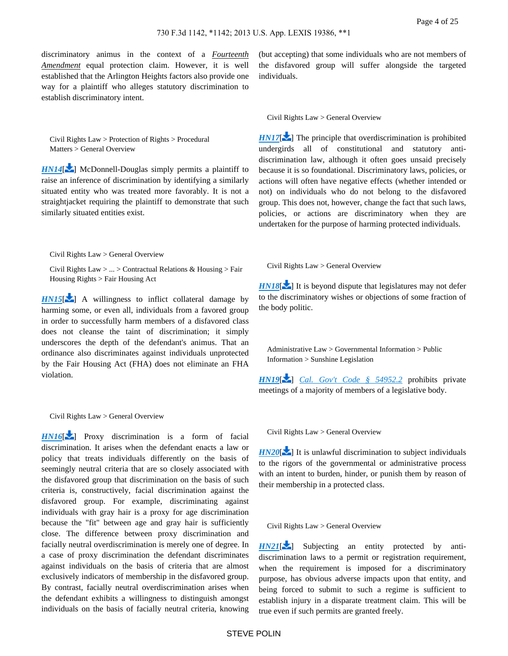discriminatory animus in the context of a *Fourteenth Amendment* equal protection claim. However, it is well established that the Arlington Heights factors also provide one way for a plaintiff who alleges statutory discrimination to establish discriminatory intent.

<span id="page-3-0"></span>Civil Rights Law > Protection of Rights > Procedural Matters > General Overview

*[HN14](https://advance.lexis.com/api/document?collection=cases&id=urn:contentItem:59D4-S301-F04K-V0HG-00000-00&context=&link=LNHNREFclscc14)*<sup>[\[](#page-15-0)1</sup>] McDonnell-Douglas simply permits a plaintiff to raise an inference of discrimination by identifying a similarly situated entity who was treated more favorably. It is not a straightjacket requiring the plaintiff to demonstrate that such similarly situated entities exist.

<span id="page-3-1"></span>Civil Rights Law > General Overview

Civil Rights Law > ... > Contractual Relations & Housing > Fair Housing Rights > Fair Housing Act

 $HNI5$ [\[](#page-15-1) $\geq$ ] A willingness to inflict collateral damage by harming some, or even all, individuals from a favored group in order to successfully harm members of a disfavored class does not cleanse the taint of discrimination; it simply underscores the depth of the defendant's animus. That an ordinance also discriminates against individuals unprotected by the Fair Housing Act (FHA) does not eliminate an FHA violation.

<span id="page-3-3"></span>Civil Rights Law > General Overview

*[HN16](https://advance.lexis.com/api/document?collection=cases&id=urn:contentItem:59D4-S301-F04K-V0HG-00000-00&context=&link=LNHNREFclscc16)*[\[](#page-15-2) ] Proxy discrimination is a form of facial discrimination. It arises when the defendant enacts a law or policy that treats individuals differently on the basis of seemingly neutral criteria that are so closely associated with the disfavored group that discrimination on the basis of such criteria is, constructively, facial discrimination against the disfavored group. For example, discriminating against individuals with gray hair is a proxy for age discrimination because the "fit" between age and gray hair is sufficiently close. The difference between proxy discrimination and facially neutral overdiscrimination is merely one of degree. In a case of proxy discrimination the defendant discriminates against individuals on the basis of criteria that are almost exclusively indicators of membership in the disfavored group. By contrast, facially neutral overdiscrimination arises when the defendant exhibits a willingness to distinguish amongst individuals on the basis of facially neutral criteria, knowing <span id="page-3-2"></span>(but accepting) that some individuals who are not members of the disfavored group will suffer alongside the targeted individuals.

Civil Rights Law > General Overview

*[HN17](https://advance.lexis.com/api/document?collection=cases&id=urn:contentItem:59D4-S301-F04K-V0HG-00000-00&context=&link=LNHNREFclscc17)* $\sim$ ] The principle that overdiscrimination is prohibited undergirds all of constitutional and statutory antidiscrimination law, although it often goes unsaid precisely because it is so foundational. Discriminatory laws, policies, or actions will often have negative effects (whether intended or not) on individuals who do not belong to the disfavored group. This does not, however, change the fact that such laws, policies, or actions are discriminatory when they are undertaken for the purpose of harming protected individuals.

<span id="page-3-4"></span>Civil Rights Law > General Overview

<span id="page-3-5"></span> $HNI8$  It is beyond dispute that legislatures may not defer to the discriminatory wishes or objections of some fraction of the body politic.

Administrative Law > Governmental Information > Public Information > Sunshine Legislation

<span id="page-3-6"></span>*[HN19](https://advance.lexis.com/api/document?collection=cases&id=urn:contentItem:59D4-S301-F04K-V0HG-00000-00&context=&link=LNHNREFclscc19)*[\[](#page-18-0) ] *[Cal. Gov't Code § 54952.2](https://advance.lexis.com/api/document?collection=statutes-legislation&id=urn:contentItem:4WN7-NKN0-R03J-P496-00000-00&context=)* prohibits private meetings of a majority of members of a legislative body.

Civil Rights Law > General Overview

 $HN20$ [\[](#page-18-1) $\blacktriangle$ ] It is unlawful discrimination to subject individuals to the rigors of the governmental or administrative process with an intent to burden, hinder, or punish them by reason of their membership in a protected class.

<span id="page-3-7"></span>Civil Rights Law > General Overview

*[HN21](https://advance.lexis.com/api/document?collection=cases&id=urn:contentItem:59D4-S301-F04K-V0HG-00000-00&context=&link=LNHNREFclscc21)*[\[](#page-18-2) $\blacktriangleright$ ] Subjecting an entity protected by antidiscrimination laws to a permit or registration requirement, when the requirement is imposed for a discriminatory purpose, has obvious adverse impacts upon that entity, and being forced to submit to such a regime is sufficient to establish injury in a disparate treatment claim. This will be true even if such permits are granted freely.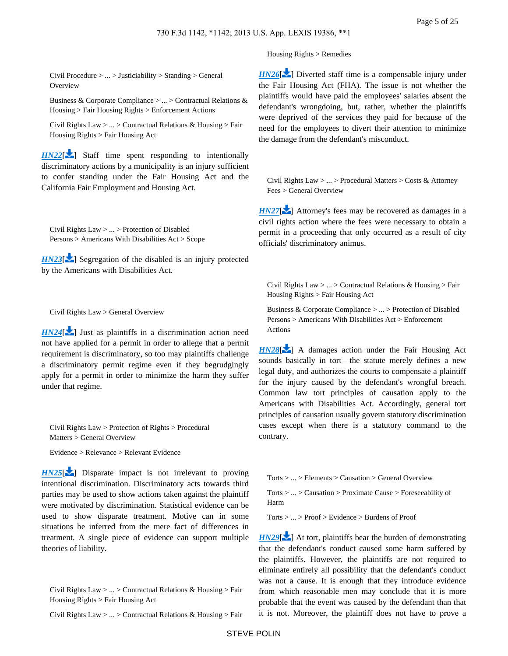#### Housing Rights > Remedies

Civil Procedure > ... > Justiciability > Standing > General **Overview** 

Business & Corporate Compliance > ... > Contractual Relations & Housing > Fair Housing Rights > Enforcement Actions

Civil Rights Law > ... > Contractual Relations & Housing > Fair Housing Rights > Fair Housing Act

 $H N22$ [\[](#page-19-0) $\blacktriangleright$ ] Staff time spent responding to intentionally discriminatory actions by a municipality is an injury sufficient to confer standing under the Fair Housing Act and the California Fair Employment and Housing Act.

<span id="page-4-0"></span>Civil Rights Law > ... > Protection of Disabled Persons > Americans With Disabilities Act > Scope

<span id="page-4-1"></span>*[HN23](https://advance.lexis.com/api/document?collection=cases&id=urn:contentItem:59D4-S301-F04K-V0HG-00000-00&context=&link=LNHNREFclscc23)*<sup>[\[](#page-19-1)22]</sup> Segregation of the disabled is an injury protected by the Americans with Disabilities Act.

Civil Rights Law > General Overview

 $HN24$  ] Just as plaintiffs in a discrimination action need not have applied for a permit in order to allege that a permit requirement is discriminatory, so too may plaintiffs challenge a discriminatory permit regime even if they begrudgingly apply for a permit in order to minimize the harm they suffer under that regime.

Civil Rights Law > Protection of Rights > Procedural Matters > General Overview

Evidence > Relevance > Relevant Evidence

*[HN25](https://advance.lexis.com/api/document?collection=cases&id=urn:contentItem:59D4-S301-F04K-V0HG-00000-00&context=&link=LNHNREFclscc25)*[\[](#page-19-3) $\blacktriangleright$ ] Disparate impact is not irrelevant to proving intentional discrimination. Discriminatory acts towards third parties may be used to show actions taken against the plaintiff were motivated by discrimination. Statistical evidence can be used to show disparate treatment. Motive can in some situations be inferred from the mere fact of differences in treatment. A single piece of evidence can support multiple theories of liability.

<span id="page-4-2"></span>Civil Rights Law > ... > Contractual Relations & Housing > Fair Housing Rights > Fair Housing Act

Civil Rights Law > ... > Contractual Relations & Housing > Fair

*[HN26](https://advance.lexis.com/api/document?collection=cases&id=urn:contentItem:59D4-S301-F04K-V0HG-00000-00&context=&link=LNHNREFclscc26)*<sup>[\[](#page-20-0)22]</sup> Diverted staff time is a compensable injury under the Fair Housing Act (FHA). The issue is not whether the plaintiffs would have paid the employees' salaries absent the defendant's wrongdoing, but, rather, whether the plaintiffs were deprived of the services they paid for because of the need for the employees to divert their attention to minimize the damage from the defendant's misconduct.

<span id="page-4-3"></span>Civil Rights Law > ... > Procedural Matters > Costs & Attorney Fees > General Overview

*[HN27](https://advance.lexis.com/api/document?collection=cases&id=urn:contentItem:59D4-S301-F04K-V0HG-00000-00&context=&link=LNHNREFclscc27)*[\[](#page-20-1)  $\blacktriangleright$ ] Attorney's fees may be recovered as damages in a civil rights action where the fees were necessary to obtain a permit in a proceeding that only occurred as a result of city officials' discriminatory animus.

<span id="page-4-4"></span>Civil Rights Law > ... > Contractual Relations & Housing > Fair Housing Rights > Fair Housing Act

Business & Corporate Compliance > ... > Protection of Disabled Persons > Americans With Disabilities Act > Enforcement Actions

*[HN28](https://advance.lexis.com/api/document?collection=cases&id=urn:contentItem:59D4-S301-F04K-V0HG-00000-00&context=&link=LNHNREFclscc28)*<sup>[\[](#page-20-2) $\angle$ </sup>] A damages action under the Fair Housing Act sounds basically in tort—the statute merely defines a new legal duty, and authorizes the courts to compensate a plaintiff for the injury caused by the defendant's wrongful breach. Common law tort principles of causation apply to the Americans with Disabilities Act. Accordingly, general tort principles of causation usually govern statutory discrimination cases except when there is a statutory command to the contrary.

<span id="page-4-5"></span>Torts > ... > Elements > Causation > General Overview

Torts > ... > Causation > Proximate Cause > Foreseeability of Harm

Torts > ... > Proof > Evidence > Burdens of Proof

*[HN29](https://advance.lexis.com/api/document?collection=cases&id=urn:contentItem:59D4-S301-F04K-V0HG-00000-00&context=&link=LNHNREFclscc29)*[\[](#page-20-3) $\blacktriangleright$ ] At tort, plaintiffs bear the burden of demonstrating that the defendant's conduct caused some harm suffered by the plaintiffs. However, the plaintiffs are not required to eliminate entirely all possibility that the defendant's conduct was not a cause. It is enough that they introduce evidence from which reasonable men may conclude that it is more probable that the event was caused by the defendant than that it is not. Moreover, the plaintiff does not have to prove a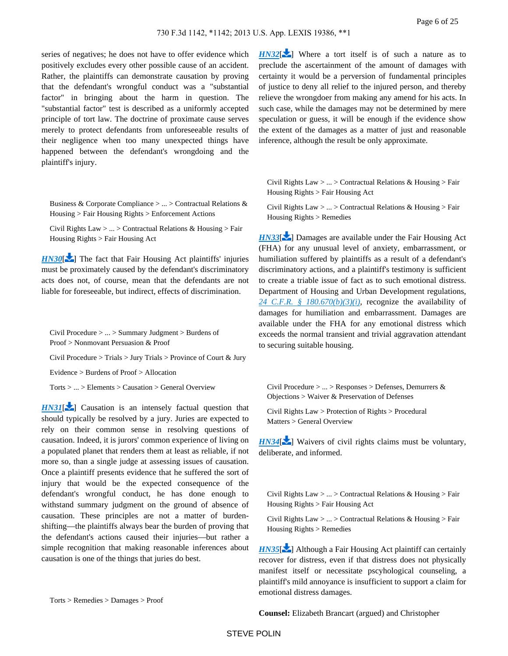series of negatives; he does not have to offer evidence which positively excludes every other possible cause of an accident. Rather, the plaintiffs can demonstrate causation by proving that the defendant's wrongful conduct was a "substantial factor" in bringing about the harm in question. The "substantial factor" test is described as a uniformly accepted principle of tort law. The doctrine of proximate cause serves merely to protect defendants from unforeseeable results of their negligence when too many unexpected things have happened between the defendant's wrongdoing and the plaintiff's injury.

Business & Corporate Compliance > ... > Contractual Relations & Housing > Fair Housing Rights > Enforcement Actions

Civil Rights Law > ... > Contractual Relations & Housing > Fair Housing Rights > Fair Housing Act

*[HN30](https://advance.lexis.com/api/document?collection=cases&id=urn:contentItem:59D4-S301-F04K-V0HG-00000-00&context=&link=LNHNREFclscc30)*[\[](#page-21-0) $\blacktriangleright$ ] The fact that Fair Housing Act plaintiffs' injuries must be proximately caused by the defendant's discriminatory acts does not, of course, mean that the defendants are not liable for foreseeable, but indirect, effects of discrimination.

<span id="page-5-0"></span>Civil Procedure > ... > Summary Judgment > Burdens of Proof > Nonmovant Persuasion & Proof

Civil Procedure > Trials > Jury Trials > Province of Court & Jury

Evidence > Burdens of Proof > Allocation

Torts > ... > Elements > Causation > General Overview

*[HN31](https://advance.lexis.com/api/document?collection=cases&id=urn:contentItem:59D4-S301-F04K-V0HG-00000-00&context=&link=LNHNREFclscc31)*<sup>2</sup> ] Causation is an intensely factual question that should typically be resolved by a jury. Juries are expected to rely on their common sense in resolving questions of causation. Indeed, it is jurors' common experience of living on a populated planet that renders them at least as reliable, if not more so, than a single judge at assessing issues of causation. Once a plaintiff presents evidence that he suffered the sort of injury that would be the expected consequence of the defendant's wrongful conduct, he has done enough to withstand summary judgment on the ground of absence of causation. These principles are not a matter of burdenshifting—the plaintiffs always bear the burden of proving that the defendant's actions caused their injuries—but rather a simple recognition that making reasonable inferences about causation is one of the things that juries do best.

<span id="page-5-1"></span>Torts > Remedies > Damages > Proof

*[HN32](https://advance.lexis.com/api/document?collection=cases&id=urn:contentItem:59D4-S301-F04K-V0HG-00000-00&context=&link=LNHNREFclscc32)*[\[](#page-22-0) $\blacktriangleright$ ] Where a tort itself is of such a nature as to preclude the ascertainment of the amount of damages with certainty it would be a perversion of fundamental principles of justice to deny all relief to the injured person, and thereby relieve the wrongdoer from making any amend for his acts. In such case, while the damages may not be determined by mere speculation or guess, it will be enough if the evidence show the extent of the damages as a matter of just and reasonable inference, although the result be only approximate.

Civil Rights Law > ... > Contractual Relations & Housing > Fair Housing Rights > Fair Housing Act

Civil Rights Law  $> ... >$  Contractual Relations & Housing  $>$  Fair Housing Rights > Remedies

*[HN33](https://advance.lexis.com/api/document?collection=cases&id=urn:contentItem:59D4-S301-F04K-V0HG-00000-00&context=&link=LNHNREFclscc33)*<sup>[\[](#page-23-0)2]</sup> Damages are available under the Fair Housing Act (FHA) for any unusual level of anxiety, embarrassment, or humiliation suffered by plaintiffs as a result of a defendant's discriminatory actions, and a plaintiff's testimony is sufficient to create a triable issue of fact as to such emotional distress. Department of Housing and Urban Development regulations, *[24 C.F.R. § 180.670\(b\)\(3\)\(i\)](https://advance.lexis.com/api/document?collection=administrative-codes&id=urn:contentItem:5K2F-YCH0-008G-Y2CB-00000-00&context=)*, recognize the availability of damages for humiliation and embarrassment. Damages are available under the FHA for any emotional distress which exceeds the normal transient and trivial aggravation attendant to securing suitable housing.

<span id="page-5-2"></span>Civil Procedure > ... > Responses > Defenses, Demurrers & Objections > Waiver & Preservation of Defenses

Civil Rights Law > Protection of Rights > Procedural Matters > General Overview

*[HN34](https://advance.lexis.com/api/document?collection=cases&id=urn:contentItem:59D4-S301-F04K-V0HG-00000-00&context=&link=LNHNREFclscc34)*[\[](#page-23-1) $\blacktriangleright$ ] Waivers of civil rights claims must be voluntary, deliberate, and informed.

Civil Rights Law  $> ... >$  Contractual Relations & Housing  $>$  Fair Housing Rights > Fair Housing Act

Civil Rights Law > ... > Contractual Relations & Housing > Fair Housing Rights > Remedies

*[HN35](https://advance.lexis.com/api/document?collection=cases&id=urn:contentItem:59D4-S301-F04K-V0HG-00000-00&context=&link=LNHNREFclscc35)*[\[](#page-24-0) $\blacktriangleright$ ] Although a Fair Housing Act plaintiff can certainly recover for distress, even if that distress does not physically manifest itself or necessitate pscyhological counseling, a plaintiff's mild annoyance is insufficient to support a claim for emotional distress damages.

**Counsel:** Elizabeth Brancart (argued) and Christopher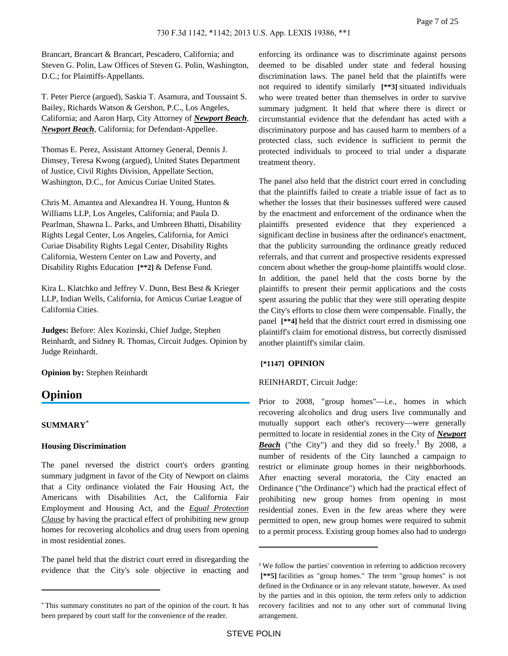Brancart, Brancart & Brancart, Pescadero, California; and Steven G. Polin, Law Offices of Steven G. Polin, Washington, D.C.; for Plaintiffs-Appellants.

T. Peter Pierce (argued), Saskia T. Asamura, and Toussaint S. Bailey, Richards Watson & Gershon, P.C., Los Angeles, California; and Aaron Harp, City Attorney of *Newport Beach*, *Newport Beach*, California; for Defendant-Appellee.

Thomas E. Perez, Assistant Attorney General, Dennis J. Dimsey, Teresa Kwong (argued), United States Department of Justice, Civil Rights Division, Appellate Section, Washington, D.C., for Amicus Curiae United States.

Chris M. Amantea and Alexandrea H. Young, Hunton & Williams LLP, Los Angeles, California; and Paula D. Pearlman, Shawna L. Parks, and Umbreen Bhatti, Disability Rights Legal Center, Los Angeles, California, for Amici Curiae Disability Rights Legal Center, Disability Rights California, Western Center on Law and Poverty, and Disability Rights Education **[\*\*2]** & Defense Fund.

Kira L. Klatchko and Jeffrey V. Dunn, Best Best & Krieger LLP, Indian Wells, California, for Amicus Curiae League of California Cities.

**Judges:** Before: Alex Kozinski, Chief Judge, Stephen Reinhardt, and Sidney R. Thomas, Circuit Judges. Opinion by Judge Reinhardt.

**Opinion by:** Stephen Reinhardt

## **Opinion**

### **SUMMARY**\*

## **Housing Discrimination**

The panel reversed the district court's orders granting summary judgment in favor of the City of Newport on claims that a City ordinance violated the Fair Housing Act, the Americans with Disabilities Act, the California Fair Employment and Housing Act, and the *Equal Protection Clause* by having the practical effect of prohibiting new group homes for recovering alcoholics and drug users from opening in most residential zones.

The panel held that the district court erred in disregarding the evidence that the City's sole objective in enacting and enforcing its ordinance was to discriminate against persons deemed to be disabled under state and federal housing discrimination laws. The panel held that the plaintiffs were not required to identify similarly **[\*\*3]** situated individuals who were treated better than themselves in order to survive summary judgment. It held that where there is direct or circumstantial evidence that the defendant has acted with a discriminatory purpose and has caused harm to members of a protected class, such evidence is sufficient to permit the protected individuals to proceed to trial under a disparate treatment theory.

The panel also held that the district court erred in concluding that the plaintiffs failed to create a triable issue of fact as to whether the losses that their businesses suffered were caused by the enactment and enforcement of the ordinance when the plaintiffs presented evidence that they experienced a significant decline in business after the ordinance's enactment, that the publicity surrounding the ordinance greatly reduced referrals, and that current and prospective residents expressed concern about whether the group-home plaintiffs would close. In addition, the panel held that the costs borne by the plaintiffs to present their permit applications and the costs spent assuring the public that they were still operating despite the City's efforts to close them were compensable. Finally, the panel **[\*\*4]** held that the district court erred in dismissing one plaintiff's claim for emotional distress, but correctly dismissed another plaintiff's similar claim.

## **[\*1147] OPINION**

#### REINHARDT, Circuit Judge:

Prior to 2008, "group homes"—i.e., homes in which recovering alcoholics and drug users live communally and mutually support each other's recovery—were generally permitted to locate in residential zones in the City of *Newport*  **Beach** ("the City") and they did so freely.<sup>1</sup> By 2008, a number of residents of the City launched a campaign to restrict or eliminate group homes in their neighborhoods. After enacting several moratoria, the City enacted an Ordinance ("the Ordinance") which had the practical effect of prohibiting new group homes from opening in most residential zones. Even in the few areas where they were permitted to open, new group homes were required to submit to a permit process. Existing group homes also had to undergo

<sup>\*</sup> This summary constitutes no part of the opinion of the court. It has been prepared by court staff for the convenience of the reader.

<sup>&</sup>lt;sup>1</sup>We follow the parties' convention in referring to addiction recovery  **[\*\*5]** facilities as "group homes." The term "group homes" is not defined in the Ordinance or in any relevant statute, however. As used by the parties and in this opinion, the term refers only to addiction recovery facilities and not to any other sort of communal living arrangement.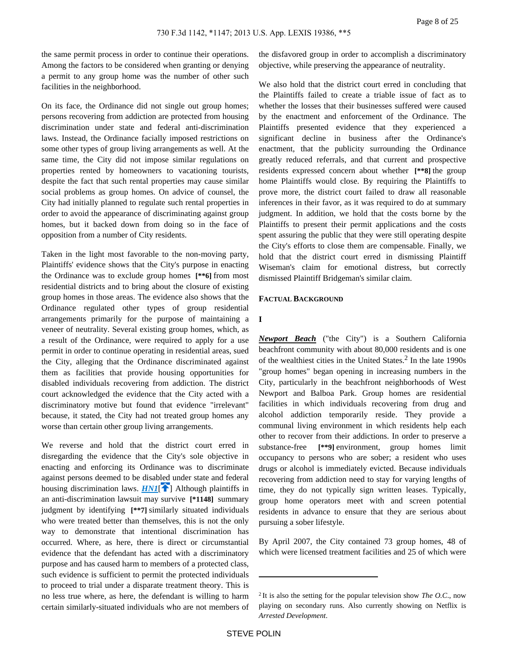the same permit process in order to continue their operations. Among the factors to be considered when granting or denying a permit to any group home was the number of other such facilities in the neighborhood.

On its face, the Ordinance did not single out group homes; persons recovering from addiction are protected from housing discrimination under state and federal anti-discrimination laws. Instead, the Ordinance facially imposed restrictions on some other types of group living arrangements as well. At the same time, the City did not impose similar regulations on properties rented by homeowners to vacationing tourists, despite the fact that such rental properties may cause similar social problems as group homes. On advice of counsel, the City had initially planned to regulate such rental properties in order to avoid the appearance of discriminating against group homes, but it backed down from doing so in the face of opposition from a number of City residents.

Taken in the light most favorable to the non-moving party, Plaintiffs' evidence shows that the City's purpose in enacting the Ordinance was to exclude group homes **[\*\*6]** from most residential districts and to bring about the closure of existing group homes in those areas. The evidence also shows that the Ordinance regulated other types of group residential arrangements primarily for the purpose of maintaining a veneer of neutrality. Several existing group homes, which, as a result of the Ordinance, were required to apply for a use permit in order to continue operating in residential areas, sued the City, alleging that the Ordinance discriminated against them as facilities that provide housing opportunities for disabled individuals recovering from addiction. The district court acknowledged the evidence that the City acted with a discriminatory motive but found that evidence "irrelevant" because, it stated, the City had not treated group homes any worse than certain other group living arrangements.

<span id="page-7-0"></span>We reverse and hold that the district court erred in disregarding the evidence that the City's sole objective in enacting and enforcing its Ordinance was to discriminate against persons deemed to be disabled under state and federal housing discrimination laws.  $HNI[\hat{\mathbf{T}}]$  $HNI[\hat{\mathbf{T}}]$  Although plaintiffs in an anti-discrimination lawsuit may survive **[\*1148]** summary judgment by identifying **[\*\*7]** similarly situated individuals who were treated better than themselves, this is not the only way to demonstrate that intentional discrimination has occurred. Where, as here, there is direct or circumstantial evidence that the defendant has acted with a discriminatory purpose and has caused harm to members of a protected class, such evidence is sufficient to permit the protected individuals to proceed to trial under a disparate treatment theory. This is no less true where, as here, the defendant is willing to harm certain similarly-situated individuals who are not members of

the disfavored group in order to accomplish a discriminatory objective, while preserving the appearance of neutrality.

We also hold that the district court erred in concluding that the Plaintiffs failed to create a triable issue of fact as to whether the losses that their businesses suffered were caused by the enactment and enforcement of the Ordinance. The Plaintiffs presented evidence that they experienced a significant decline in business after the Ordinance's enactment, that the publicity surrounding the Ordinance greatly reduced referrals, and that current and prospective residents expressed concern about whether **[\*\*8]** the group home Plaintiffs would close. By requiring the Plaintiffs to prove more, the district court failed to draw all reasonable inferences in their favor, as it was required to do at summary judgment. In addition, we hold that the costs borne by the Plaintiffs to present their permit applications and the costs spent assuring the public that they were still operating despite the City's efforts to close them are compensable. Finally, we hold that the district court erred in dismissing Plaintiff Wiseman's claim for emotional distress, but correctly dismissed Plaintiff Bridgeman's similar claim.

#### **FACTUAL BACKGROUND**

### **I**

*Newport Beach* ("the City") is a Southern California beachfront community with about 80,000 residents and is one of the wealthiest cities in the United States.<sup>2</sup> In the late 1990s "group homes" began opening in increasing numbers in the City, particularly in the beachfront neighborhoods of West Newport and Balboa Park. Group homes are residential facilities in which individuals recovering from drug and alcohol addiction temporarily reside. They provide a communal living environment in which residents help each other to recover from their addictions. In order to preserve a substance-free **[\*\*9]** environment, group homes limit occupancy to persons who are sober; a resident who uses drugs or alcohol is immediately evicted. Because individuals recovering from addiction need to stay for varying lengths of time, they do not typically sign written leases. Typically, group home operators meet with and screen potential residents in advance to ensure that they are serious about pursuing a sober lifestyle.

By April 2007, the City contained 73 group homes, 48 of which were licensed treatment facilities and 25 of which were

<sup>2</sup>It is also the setting for the popular television show *The O.C*., now playing on secondary runs. Also currently showing on Netflix is *Arrested Development*.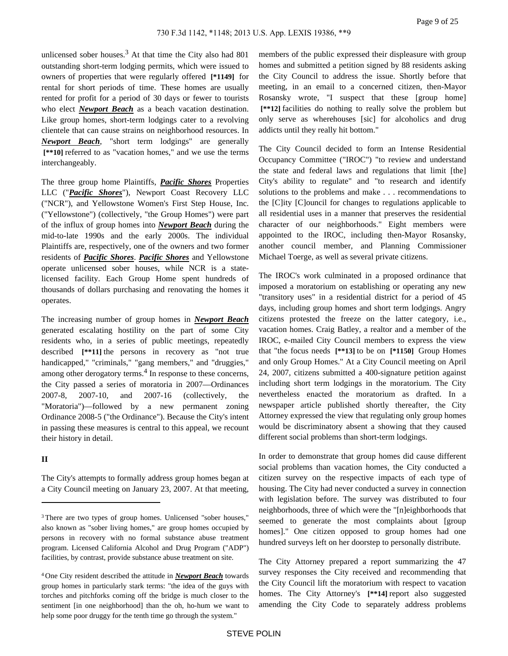unlicensed sober houses. $3$  At that time the City also had 801 outstanding short-term lodging permits, which were issued to owners of properties that were regularly offered **[\*1149]** for rental for short periods of time. These homes are usually rented for profit for a period of 30 days or fewer to tourists who elect *Newport Beach* as a beach vacation destination. Like group homes, short-term lodgings cater to a revolving clientele that can cause strains on neighborhood resources. In *Newport Beach*, "short term lodgings" are generally  **[\*\*10]** referred to as "vacation homes," and we use the terms interchangeably.

The three group home Plaintiffs, *Pacific Shores* Properties LLC ("*Pacific Shores*"), Newport Coast Recovery LLC ("NCR"), and Yellowstone Women's First Step House, Inc. ("Yellowstone") (collectively, "the Group Homes") were part of the influx of group homes into *Newport Beach* during the mid-to-late 1990s and the early 2000s. The individual Plaintiffs are, respectively, one of the owners and two former residents of *Pacific Shores*. *Pacific Shores* and Yellowstone operate unlicensed sober houses, while NCR is a statelicensed facility. Each Group Home spent hundreds of thousands of dollars purchasing and renovating the homes it operates.

The increasing number of group homes in *Newport Beach* generated escalating hostility on the part of some City residents who, in a series of public meetings, repeatedly described **[\*\*11]** the persons in recovery as "not true handicapped," "criminals," "gang members," and "druggies," among other derogatory terms.<sup>4</sup> In response to these concerns, the City passed a series of moratoria in 2007—Ordinances 2007-8, 2007-10, and 2007-16 (collectively, the "Moratoria")—followed by a new permanent zoning Ordinance 2008-5 ("the Ordinance"). Because the City's intent in passing these measures is central to this appeal, we recount their history in detail.

### **II**

The City's attempts to formally address group homes began at a City Council meeting on January 23, 2007. At that meeting,

members of the public expressed their displeasure with group homes and submitted a petition signed by 88 residents asking the City Council to address the issue. Shortly before that meeting, in an email to a concerned citizen, then-Mayor Rosansky wrote, "I suspect that these [group home]  **[\*\*12]** facilities do nothing to really solve the problem but only serve as wherehouses [sic] for alcoholics and drug addicts until they really hit bottom."

The City Council decided to form an Intense Residential Occupancy Committee ("IROC") "to review and understand the state and federal laws and regulations that limit [the] City's ability to regulate" and "to research and identify solutions to the problems and make . . . recommendations to the [C]ity [C]ouncil for changes to regulations applicable to all residential uses in a manner that preserves the residential character of our neighborhoods." Eight members were appointed to the IROC, including then-Mayor Rosansky, another council member, and Planning Commissioner Michael Toerge, as well as several private citizens.

The IROC's work culminated in a proposed ordinance that imposed a moratorium on establishing or operating any new "transitory uses" in a residential district for a period of 45 days, including group homes and short term lodgings. Angry citizens protested the freeze on the latter category, i.e., vacation homes. Craig Batley, a realtor and a member of the IROC, e-mailed City Council members to express the view that "the focus needs **[\*\*13]** to be on **[\*1150]** Group Homes and only Group Homes." At a City Council meeting on April 24, 2007, citizens submitted a 400-signature petition against including short term lodgings in the moratorium. The City nevertheless enacted the moratorium as drafted. In a newspaper article published shortly thereafter, the City Attorney expressed the view that regulating only group homes would be discriminatory absent a showing that they caused different social problems than short-term lodgings.

In order to demonstrate that group homes did cause different social problems than vacation homes, the City conducted a citizen survey on the respective impacts of each type of housing. The City had never conducted a survey in connection with legislation before. The survey was distributed to four neighborhoods, three of which were the "[n]eighborhoods that seemed to generate the most complaints about [group homes]." One citizen opposed to group homes had one hundred surveys left on her doorstep to personally distribute.

The City Attorney prepared a report summarizing the 47 survey responses the City received and recommending that the City Council lift the moratorium with respect to vacation homes. The City Attorney's **[\*\*14]** report also suggested amending the City Code to separately address problems

<sup>3</sup>There are two types of group homes. Unlicensed "sober houses," also known as "sober living homes," are group homes occupied by persons in recovery with no formal substance abuse treatment program. Licensed California Alcohol and Drug Program ("ADP") facilities, by contrast, provide substance abuse treatment on site.

<sup>4</sup>One City resident described the attitude in *Newport Beach* towards group homes in particularly stark terms: "the idea of the guys with torches and pitchforks coming off the bridge is much closer to the sentiment [in one neighborhood] than the oh, ho-hum we want to help some poor druggy for the tenth time go through the system."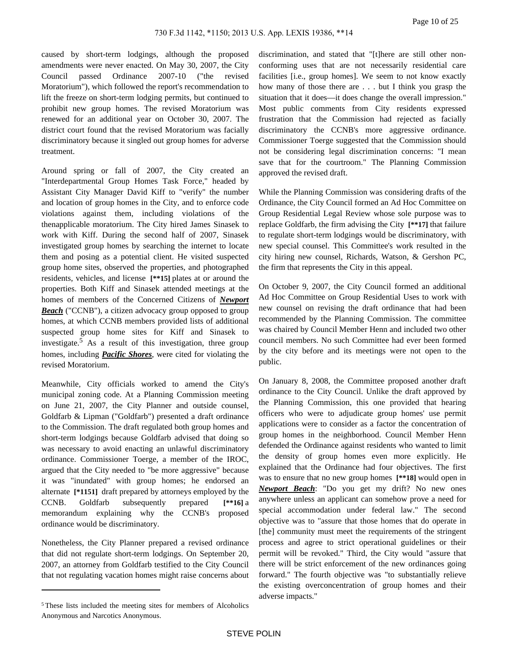caused by short-term lodgings, although the proposed amendments were never enacted. On May 30, 2007, the City Council passed Ordinance 2007-10 ("the revised Moratorium"), which followed the report's recommendation to lift the freeze on short-term lodging permits, but continued to prohibit new group homes. The revised Moratorium was renewed for an additional year on October 30, 2007. The district court found that the revised Moratorium was facially discriminatory because it singled out group homes for adverse treatment.

Around spring or fall of 2007, the City created an "Interdepartmental Group Homes Task Force," headed by Assistant City Manager David Kiff to "verify" the number and location of group homes in the City, and to enforce code violations against them, including violations of the thenapplicable moratorium. The City hired James Sinasek to work with Kiff. During the second half of 2007, Sinasek investigated group homes by searching the internet to locate them and posing as a potential client. He visited suspected group home sites, observed the properties, and photographed residents, vehicles, and license **[\*\*15]** plates at or around the properties. Both Kiff and Sinasek attended meetings at the homes of members of the Concerned Citizens of *Newport Beach* ("CCNB"), a citizen advocacy group opposed to group homes, at which CCNB members provided lists of additional suspected group home sites for Kiff and Sinasek to investigate.<sup>5</sup> As a result of this investigation, three group homes, including *Pacific Shores*, were cited for violating the revised Moratorium.

Meanwhile, City officials worked to amend the City's municipal zoning code. At a Planning Commission meeting on June 21, 2007, the City Planner and outside counsel, Goldfarb & Lipman ("Goldfarb") presented a draft ordinance to the Commission. The draft regulated both group homes and short-term lodgings because Goldfarb advised that doing so was necessary to avoid enacting an unlawful discriminatory ordinance. Commissioner Toerge, a member of the IROC, argued that the City needed to "be more aggressive" because it was "inundated" with group homes; he endorsed an alternate **[\*1151]** draft prepared by attorneys employed by the CCNB. Goldfarb subsequently prepared **[\*\*16]** a memorandum explaining why the CCNB's proposed ordinance would be discriminatory.

Nonetheless, the City Planner prepared a revised ordinance that did not regulate short-term lodgings. On September 20, 2007, an attorney from Goldfarb testified to the City Council that not regulating vacation homes might raise concerns about discrimination, and stated that "[t]here are still other nonconforming uses that are not necessarily residential care facilities [i.e., group homes]. We seem to not know exactly how many of those there are . . . but I think you grasp the situation that it does—it does change the overall impression." Most public comments from City residents expressed frustration that the Commission had rejected as facially discriminatory the CCNB's more aggressive ordinance. Commissioner Toerge suggested that the Commission should not be considering legal discrimination concerns: "I mean save that for the courtroom." The Planning Commission approved the revised draft.

While the Planning Commission was considering drafts of the Ordinance, the City Council formed an Ad Hoc Committee on Group Residential Legal Review whose sole purpose was to replace Goldfarb, the firm advising the City **[\*\*17]** that failure to regulate short-term lodgings would be discriminatory, with new special counsel. This Committee's work resulted in the city hiring new counsel, Richards, Watson, & Gershon PC, the firm that represents the City in this appeal.

On October 9, 2007, the City Council formed an additional Ad Hoc Committee on Group Residential Uses to work with new counsel on revising the draft ordinance that had been recommended by the Planning Commission. The committee was chaired by Council Member Henn and included two other council members. No such Committee had ever been formed by the city before and its meetings were not open to the public.

On January 8, 2008, the Committee proposed another draft ordinance to the City Council. Unlike the draft approved by the Planning Commission, this one provided that hearing officers who were to adjudicate group homes' use permit applications were to consider as a factor the concentration of group homes in the neighborhood. Council Member Henn defended the Ordinance against residents who wanted to limit the density of group homes even more explicitly. He explained that the Ordinance had four objectives. The first was to ensure that no new group homes **[\*\*18]** would open in *Newport Beach*: "Do you get my drift? No new ones anywhere unless an applicant can somehow prove a need for special accommodation under federal law." The second objective was to "assure that those homes that do operate in [the] community must meet the requirements of the stringent process and agree to strict operational guidelines or their permit will be revoked." Third, the City would "assure that there will be strict enforcement of the new ordinances going forward." The fourth objective was "to substantially relieve the existing overconcentration of group homes and their adverse impacts."

<sup>5</sup>These lists included the meeting sites for members of Alcoholics Anonymous and Narcotics Anonymous.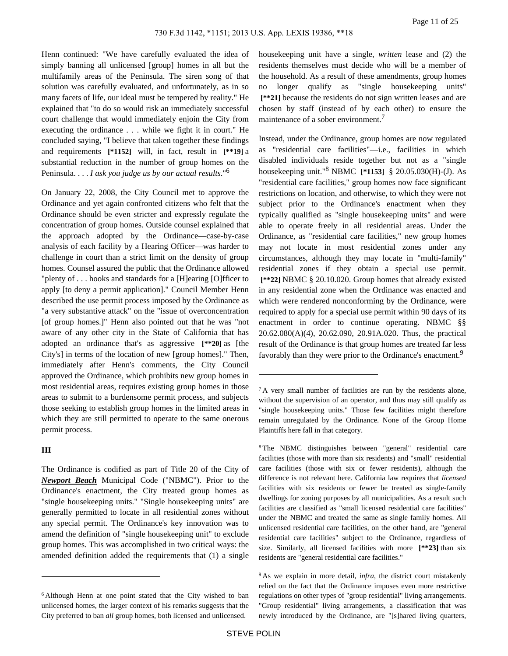Henn continued: "We have carefully evaluated the idea of simply banning all unlicensed [group] homes in all but the multifamily areas of the Peninsula. The siren song of that solution was carefully evaluated, and unfortunately, as in so many facets of life, our ideal must be tempered by reality." He explained that "to do so would risk an immediately successful court challenge that would immediately enjoin the City from executing the ordinance . . . while we fight it in court." He concluded saying, "I believe that taken together these findings and requirements **[\*1152]** will, in fact, result in **[\*\*19]** a substantial reduction in the number of group homes on the Peninsula. . . . *I ask you judge us by our actual results*."<sup>6</sup>

On January 22, 2008, the City Council met to approve the Ordinance and yet again confronted citizens who felt that the Ordinance should be even stricter and expressly regulate the concentration of group homes. Outside counsel explained that the approach adopted by the Ordinance—case-by-case analysis of each facility by a Hearing Officer—was harder to challenge in court than a strict limit on the density of group homes. Counsel assured the public that the Ordinance allowed "plenty of . . . hooks and standards for a [H]earing [O]fficer to apply [to deny a permit application]." Council Member Henn described the use permit process imposed by the Ordinance as "a very substantive attack" on the "issue of overconcentration [of group homes.]" Henn also pointed out that he was "not aware of any other city in the State of California that has adopted an ordinance that's as aggressive **[\*\*20]** as [the City's] in terms of the location of new [group homes]." Then, immediately after Henn's comments, the City Council approved the Ordinance, which prohibits new group homes in most residential areas, requires existing group homes in those areas to submit to a burdensome permit process, and subjects those seeking to establish group homes in the limited areas in which they are still permitted to operate to the same onerous permit process.

## **III**

The Ordinance is codified as part of Title 20 of the City of *Newport Beach* Municipal Code ("NBMC"). Prior to the Ordinance's enactment, the City treated group homes as "single housekeeping units." "Single housekeeping units" are generally permitted to locate in all residential zones without any special permit. The Ordinance's key innovation was to amend the definition of "single housekeeping unit" to exclude group homes. This was accomplished in two critical ways: the amended definition added the requirements that (1) a single

housekeeping unit have a single, *written* lease and (2) the residents themselves must decide who will be a member of the household. As a result of these amendments, group homes no longer qualify as "single housekeeping units"  **[\*\*21]** because the residents do not sign written leases and are chosen by staff (instead of by each other) to ensure the maintenance of a sober environment.<sup>7</sup>

Instead, under the Ordinance, group homes are now regulated as "residential care facilities"—i.e., facilities in which disabled individuals reside together but not as a "single housekeeping unit."<sup>8</sup> NBMC **[\*1153]** § 20.05.030(H)-(J). As "residential care facilities," group homes now face significant restrictions on location, and otherwise, to which they were not subject prior to the Ordinance's enactment when they typically qualified as "single housekeeping units" and were able to operate freely in all residential areas. Under the Ordinance, as "residential care facilities," new group homes may not locate in most residential zones under any circumstances, although they may locate in "multi-family" residential zones if they obtain a special use permit.  **[\*\*22]** NBMC § 20.10.020. Group homes that already existed in any residential zone when the Ordinance was enacted and which were rendered nonconforming by the Ordinance, were required to apply for a special use permit within 90 days of its enactment in order to continue operating. NBMC §§ 20.62.080(A)(4), 20.62.090, 20.91A.020. Thus, the practical result of the Ordinance is that group homes are treated far less favorably than they were prior to the Ordinance's enactment.<sup>9</sup>

<sup>6</sup>Although Henn at one point stated that the City wished to ban unlicensed homes, the larger context of his remarks suggests that the City preferred to ban *all* group homes, both licensed and unlicensed.

<sup>7</sup>A very small number of facilities are run by the residents alone, without the supervision of an operator, and thus may still qualify as "single housekeeping units." Those few facilities might therefore remain unregulated by the Ordinance. None of the Group Home Plaintiffs here fall in that category.

<sup>8</sup>The NBMC distinguishes between "general" residential care facilities (those with more than six residents) and "small" residential care facilities (those with six or fewer residents), although the difference is not relevant here. California law requires that *licensed* facilities with six residents or fewer be treated as single-family dwellings for zoning purposes by all municipalities. As a result such facilities are classified as "small licensed residential care facilities" under the NBMC and treated the same as single family homes. All unlicensed residential care facilities, on the other hand, are "general residential care facilities" subject to the Ordinance, regardless of size. Similarly, all licensed facilities with more **[\*\*23]** than six residents are "general residential care facilities."

<sup>9</sup>As we explain in more detail, *infra*, the district court mistakenly relied on the fact that the Ordinance imposes even more restrictive regulations on other types of "group residential" living arrangements. "Group residential" living arrangements, a classification that was newly introduced by the Ordinance, are "[s]hared living quarters,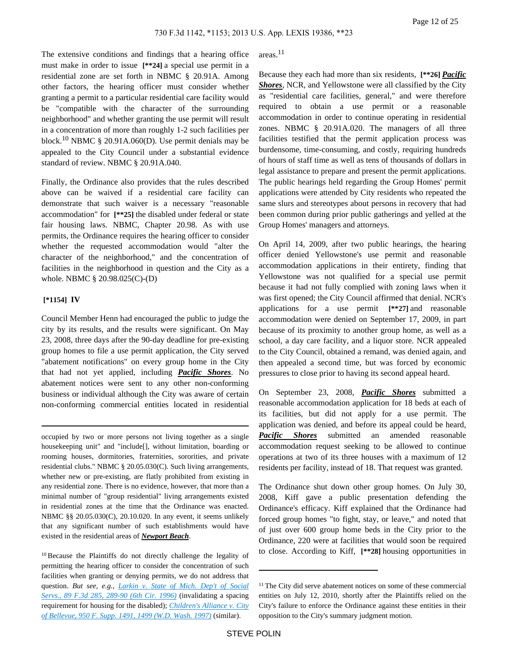The extensive conditions and findings that a hearing office must make in order to issue **[\*\*24]** a special use permit in a residential zone are set forth in NBMC § 20.91A. Among other factors, the hearing officer must consider whether granting a permit to a particular residential care facility would be "compatible with the character of the surrounding neighborhood" and whether granting the use permit will result in a concentration of more than roughly 1-2 such facilities per block.<sup>10</sup> NBMC § 20.91A.060(D). Use permit denials may be appealed to the City Council under a substantial evidence standard of review. NBMC § 20.91A.040.

Finally, the Ordinance also provides that the rules described above can be waived if a residential care facility can demonstrate that such waiver is a necessary "reasonable accommodation" for **[\*\*25]** the disabled under federal or state fair housing laws. NBMC, Chapter 20.98. As with use permits, the Ordinance requires the hearing officer to consider whether the requested accommodation would "alter the character of the neighborhood," and the concentration of facilities in the neighborhood in question and the City as a whole. NBMC § 20.98.025(C)-(D)

## **[\*1154] IV**

Council Member Henn had encouraged the public to judge the city by its results, and the results were significant. On May 23, 2008, three days after the 90-day deadline for pre-existing group homes to file a use permit application, the City served "abatement notifications" on every group home in the City that had not yet applied, including *Pacific Shores*. No abatement notices were sent to any other non-conforming business or individual although the City was aware of certain non-conforming commercial entities located in residential

occupied by two or more persons not living together as a single housekeeping unit" and "include[], without limitation, boarding or rooming houses, dormitories, fraternities, sororities, and private residential clubs." NBMC § 20.05.030(C). Such living arrangements, whether new or pre-existing, are flatly prohibited from existing in any residential zone. There is no evidence, however, that more than a minimal number of "group residential" living arrangements existed in residential zones at the time that the Ordinance was enacted. NBMC §§ 20.05.030(C), 20.10.020. In any event, it seems unlikely that any significant number of such establishments would have existed in the residential areas of *Newport Beach*.

<sup>10</sup>Because the Plaintiffs do not directly challenge the legality of permitting the hearing officer to consider the concentration of such facilities when granting or denying permits, we do not address that question. *But see, e.g., [Larkin v. State of Mich. Dep't of Social](https://advance.lexis.com/api/document?collection=cases&id=urn:contentItem:3S4X-1N70-006F-M44T-00000-00&context=)  [Servs., 89 F.3d 285, 289-90 \(6th Cir. 1996\)](https://advance.lexis.com/api/document?collection=cases&id=urn:contentItem:3S4X-1N70-006F-M44T-00000-00&context=)* (invalidating a spacing requirement for housing for the disabled); *[Children's Alliance v. City](https://advance.lexis.com/api/document?collection=cases&id=urn:contentItem:3S4N-KBN0-00B1-F3WR-00000-00&context=)  [of Bellevue, 950 F. Supp. 1491, 1499 \(W.D. Wash. 1997\)](https://advance.lexis.com/api/document?collection=cases&id=urn:contentItem:3S4N-KBN0-00B1-F3WR-00000-00&context=)* (similar).

areas.<sup>11</sup>

Because they each had more than six residents, **[\*\*26]** *Pacific Shores*, NCR, and Yellowstone were all classified by the City as "residential care facilities, general," and were therefore required to obtain a use permit or a reasonable accommodation in order to continue operating in residential zones. NBMC § 20.91A.020. The managers of all three facilities testified that the permit application process was burdensome, time-consuming, and costly, requiring hundreds of hours of staff time as well as tens of thousands of dollars in legal assistance to prepare and present the permit applications. The public hearings held regarding the Group Homes' permit applications were attended by City residents who repeated the same slurs and stereotypes about persons in recovery that had been common during prior public gatherings and yelled at the Group Homes' managers and attorneys.

On April 14, 2009, after two public hearings, the hearing officer denied Yellowstone's use permit and reasonable accommodation applications in their entirety, finding that Yellowstone was not qualified for a special use permit because it had not fully complied with zoning laws when it was first opened; the City Council affirmed that denial. NCR's applications for a use permit **[\*\*27]** and reasonable accommodation were denied on September 17, 2009, in part because of its proximity to another group home, as well as a school, a day care facility, and a liquor store. NCR appealed to the City Council, obtained a remand, was denied again, and then appealed a second time, but was forced by economic pressures to close prior to having its second appeal heard.

On September 23, 2008, *Pacific Shores* submitted a reasonable accommodation application for 18 beds at each of its facilities, but did not apply for a use permit. The application was denied, and before its appeal could be heard, *Pacific Shores* submitted an amended reasonable accommodation request seeking to be allowed to continue operations at two of its three houses with a maximum of 12 residents per facility, instead of 18. That request was granted.

The Ordinance shut down other group homes. On July 30, 2008, Kiff gave a public presentation defending the Ordinance's efficacy. Kiff explained that the Ordinance had forced group homes "to fight, stay, or leave," and noted that of just over 600 group home beds in the City prior to the Ordinance, 220 were at facilities that would soon be required to close. According to Kiff, **[\*\*28]** housing opportunities in

<sup>&</sup>lt;sup>11</sup> The City did serve abatement notices on some of these commercial entities on July 12, 2010, shortly after the Plaintiffs relied on the City's failure to enforce the Ordinance against these entities in their opposition to the City's summary judgment motion.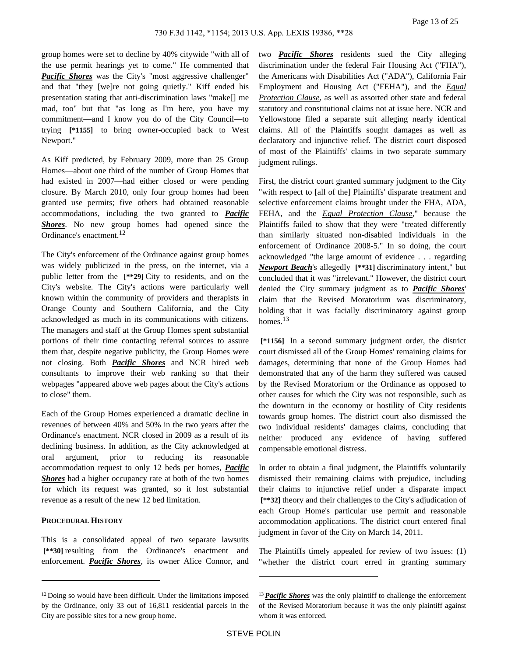group homes were set to decline by 40% citywide "with all of the use permit hearings yet to come." He commented that *Pacific Shores* was the City's "most aggressive challenger" and that "they [we]re not going quietly." Kiff ended his presentation stating that anti-discrimination laws "make[] me mad, too" but that "as long as I'm here, you have my commitment—and I know you do of the City Council—to trying **[\*1155]** to bring owner-occupied back to West Newport."

As Kiff predicted, by February 2009, more than 25 Group Homes—about one third of the number of Group Homes that had existed in 2007—had either closed or were pending closure. By March 2010, only four group homes had been granted use permits; five others had obtained reasonable accommodations, including the two granted to *Pacific Shores*. No new group homes had opened since the Ordinance's enactment.<sup>12</sup>

The City's enforcement of the Ordinance against group homes was widely publicized in the press, on the internet, via a public letter from the **[\*\*29]** City to residents, and on the City's website. The City's actions were particularly well known within the community of providers and therapists in Orange County and Southern California, and the City acknowledged as much in its communications with citizens. The managers and staff at the Group Homes spent substantial portions of their time contacting referral sources to assure them that, despite negative publicity, the Group Homes were not closing. Both *Pacific Shores* and NCR hired web consultants to improve their web ranking so that their webpages "appeared above web pages about the City's actions to close" them.

Each of the Group Homes experienced a dramatic decline in revenues of between 40% and 50% in the two years after the Ordinance's enactment. NCR closed in 2009 as a result of its declining business. In addition, as the City acknowledged at oral argument, prior to reducing its reasonable accommodation request to only 12 beds per homes, *Pacific Shores* had a higher occupancy rate at both of the two homes for which its request was granted, so it lost substantial revenue as a result of the new 12 bed limitation.

## **PROCEDURAL HISTORY**

This is a consolidated appeal of two separate lawsuits  **[\*\*30]** resulting from the Ordinance's enactment and enforcement. *Pacific Shores*, its owner Alice Connor, and two *Pacific Shores* residents sued the City alleging discrimination under the federal Fair Housing Act ("FHA"), the Americans with Disabilities Act ("ADA"), California Fair Employment and Housing Act ("FEHA"), and the *Equal Protection Clause*, as well as assorted other state and federal statutory and constitutional claims not at issue here. NCR and Yellowstone filed a separate suit alleging nearly identical claims. All of the Plaintiffs sought damages as well as declaratory and injunctive relief. The district court disposed of most of the Plaintiffs' claims in two separate summary judgment rulings.

First, the district court granted summary judgment to the City "with respect to [all of the] Plaintiffs' disparate treatment and selective enforcement claims brought under the FHA, ADA, FEHA, and the *Equal Protection Clause*," because the Plaintiffs failed to show that they were "treated differently than similarly situated non-disabled individuals in the enforcement of Ordinance 2008-5." In so doing, the court acknowledged "the large amount of evidence . . . regarding *Newport Beach*'s allegedly **[\*\*31]** discriminatory intent," but concluded that it was "irrelevant." However, the district court denied the City summary judgment as to *Pacific Shores*' claim that the Revised Moratorium was discriminatory, holding that it was facially discriminatory against group homes.<sup>13</sup>

 **[\*1156]** In a second summary judgment order, the district court dismissed all of the Group Homes' remaining claims for damages, determining that none of the Group Homes had demonstrated that any of the harm they suffered was caused by the Revised Moratorium or the Ordinance as opposed to other causes for which the City was not responsible, such as the downturn in the economy or hostility of City residents towards group homes. The district court also dismissed the two individual residents' damages claims, concluding that neither produced any evidence of having suffered compensable emotional distress.

In order to obtain a final judgment, the Plaintiffs voluntarily dismissed their remaining claims with prejudice, including their claims to injunctive relief under a disparate impact  **[\*\*32]** theory and their challenges to the City's adjudication of each Group Home's particular use permit and reasonable accommodation applications. The district court entered final judgment in favor of the City on March 14, 2011.

The Plaintiffs timely appealed for review of two issues: (1) "whether the district court erred in granting summary

<sup>&</sup>lt;sup>12</sup> Doing so would have been difficult. Under the limitations imposed by the Ordinance, only 33 out of 16,811 residential parcels in the City are possible sites for a new group home.

<sup>&</sup>lt;sup>13</sup> Pacific Shores was the only plaintiff to challenge the enforcement of the Revised Moratorium because it was the only plaintiff against whom it was enforced.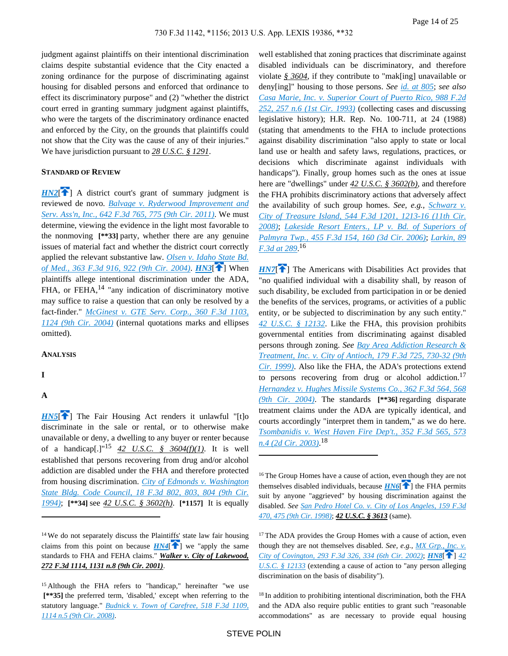judgment against plaintiffs on their intentional discrimination claims despite substantial evidence that the City enacted a zoning ordinance for the purpose of discriminating against housing for disabled persons and enforced that ordinance to effect its discriminatory purpose" and (2) "whether the district court erred in granting summary judgment against plaintiffs, who were the targets of the discriminatory ordinance enacted and enforced by the City, on the grounds that plaintiffs could not show that the City was the cause of any of their injuries." We have jurisdiction pursuant to *28 U.S.C. § 1291*.

#### <span id="page-13-0"></span>**STANDARD OF REVIEW**

*[HN2](https://advance.lexis.com/api/document?collection=cases&id=urn:contentItem:59D4-S301-F04K-V0HG-00000-00&context=&link=clscc2)*<sup>[\[](#page-1-0)4]</sup> A district court's grant of summary judgment is reviewed de novo. *[Balvage v. Ryderwood Improvement and](https://advance.lexis.com/api/document?collection=cases&id=urn:contentItem:52R4-B1P1-F04K-V018-00000-00&context=)  [Serv. Ass'n, Inc., 642 F.3d 765, 775 \(9th Cir. 2011\)](https://advance.lexis.com/api/document?collection=cases&id=urn:contentItem:52R4-B1P1-F04K-V018-00000-00&context=)*. We must determine, viewing the evidence in the light most favorable to the nonmoving **[\*\*33]** party, whether there are any genuine issues of material fact and whether the district court correctly applied the relevant substantive law. *[Olsen v. Idaho State Bd.](https://advance.lexis.com/api/document?collection=cases&id=urn:contentItem:4C3V-CFW0-0038-X28J-00000-00&context=)  [of Med., 363 F.3d 916, 922 \(9th Cir. 2004\)](https://advance.lexis.com/api/document?collection=cases&id=urn:contentItem:4C3V-CFW0-0038-X28J-00000-00&context=)*. *[HN3](https://advance.lexis.com/api/document?collection=cases&id=urn:contentItem:59D4-S301-F04K-V0HG-00000-00&context=&link=clscc3)*[<sup> $\uparrow$ </sup>] When plaintiffs allege intentional discrimination under the ADA, FHA, or FEHA,<sup>14</sup> "any indication of discriminatory motive may suffice to raise a question that can only be resolved by a fact-finder." *[McGinest v. GTE Serv. Corp., 360 F.3d 1103,](https://advance.lexis.com/api/document?collection=cases&id=urn:contentItem:4BX3-6180-0038-X197-00000-00&context=)  [1124 \(9th Cir. 2004\)](https://advance.lexis.com/api/document?collection=cases&id=urn:contentItem:4BX3-6180-0038-X197-00000-00&context=)* (internal quotations marks and ellipses omitted).

#### **ANALYSIS**

**I**

## <span id="page-13-3"></span>**A**

 $H N 5$ [\[](#page-1-1) $\uparrow$ ] The Fair Housing Act renders it unlawful "[t]o discriminate in the sale or rental, or to otherwise make unavailable or deny, a dwelling to any buyer or renter because of a handicap[.]"<sup>15</sup> *42 U.S.C. § 3604(f)(1)*. It is well established that persons recovering from drug and/or alcohol addiction are disabled under the FHA and therefore protected from housing discrimination. *[City of Edmonds v. Washington](https://advance.lexis.com/api/document?collection=cases&id=urn:contentItem:3S4X-7MW0-003B-P28B-00000-00&context=)  [State Bldg. Code Council, 18 F.3d 802, 803, 804 \(9th Cir.](https://advance.lexis.com/api/document?collection=cases&id=urn:contentItem:3S4X-7MW0-003B-P28B-00000-00&context=)  [1994\)](https://advance.lexis.com/api/document?collection=cases&id=urn:contentItem:3S4X-7MW0-003B-P28B-00000-00&context=)*; **[\*\*34]** see *42 U.S.C. § 3602(h)*. **[\*1157]** It is equally well established that zoning practices that discriminate against disabled individuals can be discriminatory, and therefore violate *§ 3604*, if they contribute to "mak[ing] unavailable or deny[ing]" housing to those persons. *See [id. at 805](https://advance.lexis.com/api/document?collection=cases&id=urn:contentItem:3S4X-7MW0-003B-P28B-00000-00&context=)*; *see also [Casa Marie, Inc. v. Superior Court of Puerto Rico, 988 F.2d](https://advance.lexis.com/api/document?collection=cases&id=urn:contentItem:3S4X-HFK0-003B-P02G-00000-00&context=)  [252, 257 n.6 \(1st Cir. 1993\)](https://advance.lexis.com/api/document?collection=cases&id=urn:contentItem:3S4X-HFK0-003B-P02G-00000-00&context=)* (collecting cases and discussing legislative history); H.R. Rep. No. 100-711, at 24 (1988) (stating that amendments to the FHA to include protections against disability discrimination "also apply to state or local land use or health and safety laws, regulations, practices, or decisions which discriminate against individuals with handicaps"). Finally, group homes such as the ones at issue here are "dwellings" under *42 U.S.C. § 3602(b)*, and therefore the FHA prohibits discriminatory actions that adversely affect the availability of such group homes. *See, e.g., [Schwarz v.](https://advance.lexis.com/api/document?collection=cases&id=urn:contentItem:4TMV-9C40-TX4N-G0F7-00000-00&context=)  [City of Treasure Island, 544 F.3d 1201, 1213-16 \(11th Cir.](https://advance.lexis.com/api/document?collection=cases&id=urn:contentItem:4TMV-9C40-TX4N-G0F7-00000-00&context=)  [2008\)](https://advance.lexis.com/api/document?collection=cases&id=urn:contentItem:4TMV-9C40-TX4N-G0F7-00000-00&context=)*; *[Lakeside Resort Enters., LP v. Bd. of Superiors of](https://advance.lexis.com/api/document?collection=cases&id=urn:contentItem:4KFP-2GW0-0038-X1BN-00000-00&context=)  [Palmyra Twp., 455 F.3d 154, 160 \(3d Cir. 2006\)](https://advance.lexis.com/api/document?collection=cases&id=urn:contentItem:4KFP-2GW0-0038-X1BN-00000-00&context=)*; *[Larkin, 89](https://advance.lexis.com/api/document?collection=cases&id=urn:contentItem:3S4X-1N70-006F-M44T-00000-00&context=)  [F.3d at 289](https://advance.lexis.com/api/document?collection=cases&id=urn:contentItem:3S4X-1N70-006F-M44T-00000-00&context=)*. 16

<span id="page-13-5"></span><span id="page-13-1"></span>*[HN7](https://advance.lexis.com/api/document?collection=cases&id=urn:contentItem:59D4-S301-F04K-V0HG-00000-00&context=&link=clscc7)*<sup> $\uparrow$ </sup>] The Americans with Disabilities Act provides that "no qualified individual with a disability shall, by reason of such disability, be excluded from participation in or be denied the benefits of the services, programs, or activities of a public entity, or be subjected to discrimination by any such entity." *[42 U.S.C. § 12132](https://advance.lexis.com/api/document?collection=statutes-legislation&id=urn:contentItem:4YF7-GN41-NRF4-40JX-00000-00&context=)*. Like the FHA, this provision prohibits governmental entities from discriminating against disabled persons through zoning. *See [Bay Area Addiction Research &](https://advance.lexis.com/api/document?collection=cases&id=urn:contentItem:3WMC-2720-0038-X4S9-00000-00&context=)  [Treatment, Inc. v. City of Antioch, 179 F.3d 725, 730-32 \(9th](https://advance.lexis.com/api/document?collection=cases&id=urn:contentItem:3WMC-2720-0038-X4S9-00000-00&context=)  [Cir. 1999\)](https://advance.lexis.com/api/document?collection=cases&id=urn:contentItem:3WMC-2720-0038-X4S9-00000-00&context=)*. Also like the FHA, the ADA's protections extend to persons recovering from drug or alcohol addiction.<sup>17</sup> *[Hernandez v. Hughes Missile Systems Co., 362 F.3d 564, 568](https://advance.lexis.com/api/document?collection=cases&id=urn:contentItem:4C0M-TTK0-0038-X0S8-00000-00&context=)  [\(9th Cir. 2004\)](https://advance.lexis.com/api/document?collection=cases&id=urn:contentItem:4C0M-TTK0-0038-X0S8-00000-00&context=)*. The standards **[\*\*36]** regarding disparate treatment claims under the ADA are typically identical, and courts accordingly "interpret them in tandem," as we do here. *[Tsombanidis v. West Haven Fire Dep't., 352 F.3d 565, 573](https://advance.lexis.com/api/document?collection=cases&id=urn:contentItem:4B7H-MTJ0-0038-X463-00000-00&context=)  [n.4 \(2d Cir. 2003\)](https://advance.lexis.com/api/document?collection=cases&id=urn:contentItem:4B7H-MTJ0-0038-X463-00000-00&context=)*. 18

<sup>18</sup> In addition to prohibiting intentional discrimination, both the FHA and the ADA also require public entities to grant such "reasonable accommodations" as are necessary to provide equal housing

<sup>&</sup>lt;sup>14</sup> We do not separately discuss the Plaintiffs' state law fair housing claims from this point on because  $HM4$ <sup>[ $\uparrow$ </sup>[\]](#page-1-2) we "apply the same standards to FHA and FEHA claims." *Walker v. City of Lakewood, 272 F.3d 1114, 1131 n.8 (9th Cir. 2001)*.

<sup>&</sup>lt;sup>15</sup> Although the FHA refers to "handicap," hereinafter "we use  **[\*\*35]** the preferred term, 'disabled,' except when referring to the statutory language." *[Budnick v. Town of Carefree, 518 F.3d 1109,](https://advance.lexis.com/api/document?collection=cases&id=urn:contentItem:4S1M-6HN0-TXFX-D2FK-00000-00&context=)  [1114 n.5 \(9th Cir. 2008\)](https://advance.lexis.com/api/document?collection=cases&id=urn:contentItem:4S1M-6HN0-TXFX-D2FK-00000-00&context=)*.

<span id="page-13-4"></span><sup>&</sup>lt;sup>16</sup>The Group Homes have a cause of action, even though they are not themselves disabled individuals, because  $H\overline{N6}$   $\uparrow$  1 the FHA permits suit by anyone "aggrieved" by housing discrimination against the disabled. *See [San Pedro Hotel Co. v. City of Los Angeles, 159 F.3d](https://advance.lexis.com/api/document?collection=cases&id=urn:contentItem:3V20-86N0-0038-X1PY-00000-00&context=)  [470, 475 \(9th Cir. 1998\)](https://advance.lexis.com/api/document?collection=cases&id=urn:contentItem:3V20-86N0-0038-X1PY-00000-00&context=)*; *42 U.S.C. § 3613* (same).

<span id="page-13-6"></span><span id="page-13-2"></span><sup>&</sup>lt;sup>17</sup>The ADA provides the Group Homes with a cause of action, even though they are not themselves disabled. *See, e.g., [MX Grp., Inc. v.](https://advance.lexis.com/api/document?collection=cases&id=urn:contentItem:4620-T270-0038-X09G-00000-00&context=)  [City of Covington, 293 F.3d 326, 334 \(6th Cir. 2002\)](https://advance.lexis.com/api/document?collection=cases&id=urn:contentItem:4620-T270-0038-X09G-00000-00&context=)*; *[HN8](https://advance.lexis.com/api/document?collection=cases&id=urn:contentItem:59D4-S301-F04K-V0HG-00000-00&context=&link=clscc8)*[\[](#page-2-0) ] *[42](https://advance.lexis.com/api/document?collection=statutes-legislation&id=urn:contentItem:4YF7-GPR1-NRF4-4148-00000-00&context=)  [U.S.C. § 12133](https://advance.lexis.com/api/document?collection=statutes-legislation&id=urn:contentItem:4YF7-GPR1-NRF4-4148-00000-00&context=)* (extending a cause of action to "any person alleging discrimination on the basis of disability").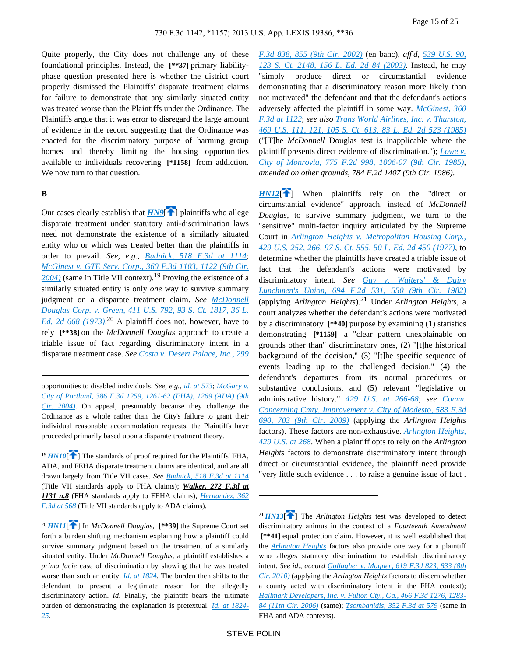Quite properly, the City does not challenge any of these foundational principles. Instead, the **[\*\*37]** primary liabilityphase question presented here is whether the district court properly dismissed the Plaintiffs' disparate treatment claims for failure to demonstrate that any similarly situated entity was treated worse than the Plaintiffs under the Ordinance. The Plaintiffs argue that it was error to disregard the large amount of evidence in the record suggesting that the Ordinance was enacted for the discriminatory purpose of harming group homes and thereby limiting the housing opportunities available to individuals recovering **[\*1158]** from addiction. We now turn to that question.

## **B**

<span id="page-14-0"></span>Our cases clearly establish that  $H N9$ [ $\uparrow$ ] plaintiffs who allege disparate treatment under statutory anti-discrimination laws need not demonstrate the existence of a similarly situated entity who or which was treated better than the plaintiffs in order to prevail. *See, e.g., [Budnick, 518 F.3d at 1114](https://advance.lexis.com/api/document?collection=cases&id=urn:contentItem:4S1M-6HN0-TXFX-D2FK-00000-00&context=)*; *[McGinest v. GTE Serv. Corp., 360 F.3d 1103, 1122 \(9th Cir.](https://advance.lexis.com/api/document?collection=cases&id=urn:contentItem:4BX3-6180-0038-X197-00000-00&context=)  [2004\)](https://advance.lexis.com/api/document?collection=cases&id=urn:contentItem:4BX3-6180-0038-X197-00000-00&context=)* (same in Title VII context).19 Proving the existence of a similarly situated entity is only *one* way to survive summary judgment on a disparate treatment claim. *See [McDonnell](https://advance.lexis.com/api/document?collection=cases&id=urn:contentItem:3S4X-CVH0-003B-S2WK-00000-00&context=)  [Douglas Corp. v. Green, 411 U.S. 792, 93 S. Ct. 1817, 36 L.](https://advance.lexis.com/api/document?collection=cases&id=urn:contentItem:3S4X-CVH0-003B-S2WK-00000-00&context=)  [Ed. 2d 668 \(1973\)](https://advance.lexis.com/api/document?collection=cases&id=urn:contentItem:3S4X-CVH0-003B-S2WK-00000-00&context=)*. <sup>20</sup> A plaintiff does not, however, have to rely **[\*\*38]** on the *McDonnell Douglas* approach to create a triable issue of fact regarding discriminatory intent in a disparate treatment case. *See [Costa v. Desert Palace, Inc., 299](https://advance.lexis.com/api/document?collection=cases&id=urn:contentItem:46DX-6YS0-0038-X0CM-00000-00&context=)* 

opportunities to disabled individuals. *See, e.g., [id. at 573](https://advance.lexis.com/api/document?collection=cases&id=urn:contentItem:4B7H-MTJ0-0038-X463-00000-00&context=)*; *[McGary v.](https://advance.lexis.com/api/document?collection=cases&id=urn:contentItem:4DNJ-D480-0038-X4M2-00000-00&context=)  [City of Portland, 386 F.3d 1259, 1261-62 \(FHA\), 1269 \(ADA\) \(9th](https://advance.lexis.com/api/document?collection=cases&id=urn:contentItem:4DNJ-D480-0038-X4M2-00000-00&context=)  [Cir. 2004\)](https://advance.lexis.com/api/document?collection=cases&id=urn:contentItem:4DNJ-D480-0038-X4M2-00000-00&context=)*. On appeal, presumably because they challenge the Ordinance as a whole rather than the City's failure to grant their individual reasonable accommodation requests, the Plaintiffs have proceeded primarily based upon a disparate treatment theory.

<span id="page-14-1"></span><sup>19</sup>  $HNI0$ <sup>[</sup> $\bigcap$ ] The standards of proof required for the Plaintiffs' FHA, ADA, and FEHA disparate treatment claims are identical, and are all drawn largely from Title VII cases. *See [Budnick, 518 F.3d at 1114](https://advance.lexis.com/api/document?collection=cases&id=urn:contentItem:4S1M-6HN0-TXFX-D2FK-00000-00&context=)* (Title VII standards apply to FHA claims); *Walker, 272 F.3d at 1131 n.8* (FHA standards apply to FEHA claims); *[Hernandez, 362](https://advance.lexis.com/api/document?collection=cases&id=urn:contentItem:4C0M-TTK0-0038-X0S8-00000-00&context=)  [F.3d at 568](https://advance.lexis.com/api/document?collection=cases&id=urn:contentItem:4C0M-TTK0-0038-X0S8-00000-00&context=)* (Title VII standards apply to ADA claims).

<span id="page-14-2"></span><sup>20</sup>*[HN11](https://advance.lexis.com/api/document?collection=cases&id=urn:contentItem:59D4-S301-F04K-V0HG-00000-00&context=&link=clscc11)*[ ] In *McDonnell Douglas*, **[\*\*39]** the Supreme Court set forth a burden shifting mechanism explaining how a plaintiff could survive summary judgment based on the treatment of a similarly situated entity. Under *McDonnell Douglas*, a plaintiff establishes a *prima facie* case of discrimination by showing that he was treated worse than such an entity. *[Id. at 1824](https://advance.lexis.com/api/document?collection=cases&id=urn:contentItem:3S4X-CVH0-003B-S2WK-00000-00&context=)*. The burden then shifts to the defendant to present a legitimate reason for the allegedly discriminatory action. *Id*. Finally, the plaintiff bears the ultimate burden of demonstrating the explanation is pretextual. *[Id. at 1824-](https://advance.lexis.com/api/document?collection=cases&id=urn:contentItem:3S4X-CVH0-003B-S2WK-00000-00&context=) [25](https://advance.lexis.com/api/document?collection=cases&id=urn:contentItem:3S4X-CVH0-003B-S2WK-00000-00&context=)*.

*[F.3d 838, 855 \(9th Cir. 2002\)](https://advance.lexis.com/api/document?collection=cases&id=urn:contentItem:46DX-6YS0-0038-X0CM-00000-00&context=)* (en banc), *aff'd*, *[539 U.S. 90,](https://advance.lexis.com/api/document?collection=cases&id=urn:contentItem:48T5-4BC0-004B-Y028-00000-00&context=)  [123 S. Ct. 2148, 156 L. Ed. 2d 84 \(2003\)](https://advance.lexis.com/api/document?collection=cases&id=urn:contentItem:48T5-4BC0-004B-Y028-00000-00&context=)*. Instead, he may "simply produce direct or circumstantial evidence demonstrating that a discriminatory reason more likely than not motivated" the defendant and that the defendant's actions adversely affected the plaintiff in some way. *[McGinest, 360](https://advance.lexis.com/api/document?collection=cases&id=urn:contentItem:4BX3-6180-0038-X197-00000-00&context=)  [F.3d at 1122](https://advance.lexis.com/api/document?collection=cases&id=urn:contentItem:4BX3-6180-0038-X197-00000-00&context=)*; *see also [Trans World Airlines, Inc. v. Thurston,](https://advance.lexis.com/api/document?collection=cases&id=urn:contentItem:3S4X-CN30-0039-N2GB-00000-00&context=)  [469 U.S. 111, 121, 105 S. Ct. 613, 83 L. Ed. 2d 523 \(1985\)](https://advance.lexis.com/api/document?collection=cases&id=urn:contentItem:3S4X-CN30-0039-N2GB-00000-00&context=)* ("[T]he *McDonnell* Douglas test is inapplicable where the plaintiff presents direct evidence of discrimination."); *[Lowe v.](https://advance.lexis.com/api/document?collection=cases&id=urn:contentItem:3S4X-D3J0-0039-P3B6-00000-00&context=)  [City of Monrovia, 775 F.2d 998, 1006-07 \(9th Cir. 1985\)](https://advance.lexis.com/api/document?collection=cases&id=urn:contentItem:3S4X-D3J0-0039-P3B6-00000-00&context=)*, *amended on other grounds*, *784 F.2d 1407 (9th Cir. 1986)*.

<span id="page-14-3"></span>*[HN12](https://advance.lexis.com/api/document?collection=cases&id=urn:contentItem:59D4-S301-F04K-V0HG-00000-00&context=&link=clscc12)*<sup>[\[](#page-2-1)4]</sup> When plaintiffs rely on the "direct or circumstantial evidence" approach, instead of *McDonnell Douglas*, to survive summary judgment, we turn to the "sensitive" multi-factor inquiry articulated by the Supreme Court in *[Arlington Heights v. Metropolitan Housing Corp.,](https://advance.lexis.com/api/document?collection=cases&id=urn:contentItem:3S4X-9M30-003B-S4DP-00000-00&context=)  [429 U.S. 252, 266, 97 S. Ct. 555, 50 L. Ed. 2d 450 \(1977\)](https://advance.lexis.com/api/document?collection=cases&id=urn:contentItem:3S4X-9M30-003B-S4DP-00000-00&context=)*, to determine whether the plaintiffs have created a triable issue of fact that the defendant's actions were motivated by discriminatory intent. *See [Gay v. Waiters' & Dairy](https://advance.lexis.com/api/document?collection=cases&id=urn:contentItem:3S4X-25B0-003B-G4JY-00000-00&context=)  [Lunchmen's Union, 694 F.2d 531, 550 \(9th Cir. 1982\)](https://advance.lexis.com/api/document?collection=cases&id=urn:contentItem:3S4X-25B0-003B-G4JY-00000-00&context=)* (applying *Arlington Heights*).21 Under *Arlington Heights*, a court analyzes whether the defendant's actions were motivated by a discriminatory **[\*\*40]** purpose by examining (1) statistics demonstrating **[\*1159]** a "clear pattern unexplainable on grounds other than" discriminatory ones, (2) "[t]he historical background of the decision," (3) "[t]he specific sequence of events leading up to the challenged decision," (4) the defendant's departures from its normal procedures or substantive conclusions, and (5) relevant "legislative or administrative history." *[429 U.S. at 266-68](https://advance.lexis.com/api/document?collection=cases&id=urn:contentItem:3S4X-9M30-003B-S4DP-00000-00&context=)*; *see [Comm.](https://advance.lexis.com/api/document?collection=cases&id=urn:contentItem:4XDF-D450-TXFX-D2BK-00000-00&context=)  [Concerning Cmty. Improvement v. City of Modesto, 583 F.3d](https://advance.lexis.com/api/document?collection=cases&id=urn:contentItem:4XDF-D450-TXFX-D2BK-00000-00&context=)  [690, 703 \(9th Cir. 2009\)](https://advance.lexis.com/api/document?collection=cases&id=urn:contentItem:4XDF-D450-TXFX-D2BK-00000-00&context=)* (applying the *Arlington Heights* factors). These factors are non-exhaustive. *[Arlington Heights,](https://advance.lexis.com/api/document?collection=cases&id=urn:contentItem:3S4X-9M30-003B-S4DP-00000-00&context=)  [429 U.S. at 268](https://advance.lexis.com/api/document?collection=cases&id=urn:contentItem:3S4X-9M30-003B-S4DP-00000-00&context=)*. When a plaintiff opts to rely on the *Arlington Heights* factors to demonstrate discriminatory intent through direct or circumstantial evidence, the plaintiff need provide "very little such evidence . . . to raise a genuine issue of fact .

<span id="page-14-4"></span><sup>&</sup>lt;sup>21</sup>*[HN13](https://advance.lexis.com/api/document?collection=cases&id=urn:contentItem:59D4-S301-F04K-V0HG-00000-00&context=&link=clscc13)*<sup>2</sup>] The *Arlington Heights* test was developed to detect discriminatory animus in the context of a *Fourteenth Amendment*  **[\*\*41]** equal protection claim. However, it is well established that the *[Arlington Heights](https://advance.lexis.com/api/document?collection=cases&id=urn:contentItem:3S4X-9M30-003B-S4DP-00000-00&context=)* factors also provide one way for a plaintiff who alleges statutory discrimination to establish discriminatory intent. *See id*.; *accord [Gallagher v. Magner, 619 F.3d 823, 833 \(8th](https://advance.lexis.com/api/document?collection=cases&id=urn:contentItem:50XB-YFK1-652R-6000-00000-00&context=)  [Cir. 2010\)](https://advance.lexis.com/api/document?collection=cases&id=urn:contentItem:50XB-YFK1-652R-6000-00000-00&context=)* (applying the *Arlington Heights* factors to discern whether a county acted with discriminatory intent in the FHA context); *[Hallmark Developers, Inc. v. Fulton Cty., Ga., 466 F.3d 1276, 1283-](https://advance.lexis.com/api/document?collection=cases&id=urn:contentItem:4M3K-MMR0-0038-X21C-00000-00&context=) [84 \(11th Cir. 2006\)](https://advance.lexis.com/api/document?collection=cases&id=urn:contentItem:4M3K-MMR0-0038-X21C-00000-00&context=)* (same); *[Tsombanidis, 352 F.3d at 579](https://advance.lexis.com/api/document?collection=cases&id=urn:contentItem:4B7H-MTJ0-0038-X463-00000-00&context=)* (same in FHA and ADA contexts).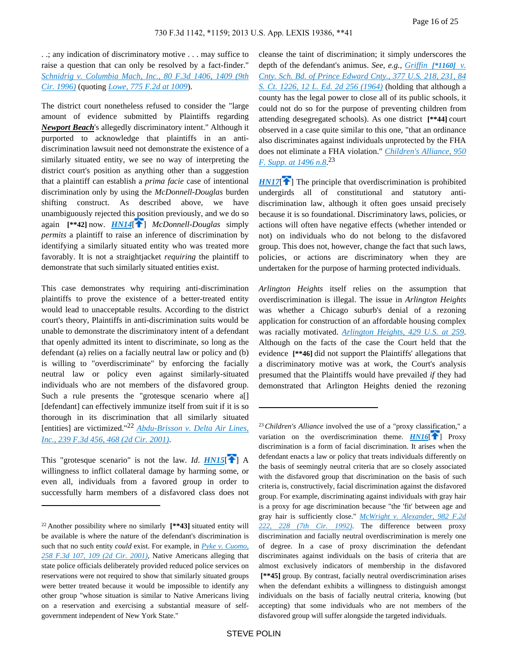. .; any indication of discriminatory motive . . . may suffice to raise a question that can only be resolved by a fact-finder." *[Schnidrig v. Columbia Mach, Inc., 80 F.3d 1406, 1409 \(9th](https://advance.lexis.com/api/document?collection=cases&id=urn:contentItem:3S4X-2MF0-006F-M0FK-00000-00&context=)  [Cir. 1996\)](https://advance.lexis.com/api/document?collection=cases&id=urn:contentItem:3S4X-2MF0-006F-M0FK-00000-00&context=)* (quoting *[Lowe, 775 F.2d at 1009](https://advance.lexis.com/api/document?collection=cases&id=urn:contentItem:3S4X-D3J0-0039-P3B6-00000-00&context=)*).

The district court nonetheless refused to consider the "large amount of evidence submitted by Plaintiffs regarding *Newport Beach*'s allegedly discriminatory intent." Although it purported to acknowledge that plaintiffs in an antidiscrimination lawsuit need not demonstrate the existence of a similarly situated entity, we see no way of interpreting the district court's position as anything other than a suggestion that a plaintiff can establish a *prima facie* case of intentional discrimination only by using the *McDonnell-Douglas* burden shifting construct. As described above, we have unambiguously rejected this position previously, and we do so again **[\*\*42]** now. *[HN14](https://advance.lexis.com/api/document?collection=cases&id=urn:contentItem:59D4-S301-F04K-V0HG-00000-00&context=&link=clscc14)*[\[](#page-3-0) ] *McDonnell-Douglas* simply *permits* a plaintiff to raise an inference of discrimination by identifying a similarly situated entity who was treated more favorably. It is not a straightjacket *requiring* the plaintiff to demonstrate that such similarly situated entities exist.

<span id="page-15-0"></span>This case demonstrates why requiring anti-discrimination plaintiffs to prove the existence of a better-treated entity would lead to unacceptable results. According to the district court's theory, Plaintiffs in anti-discrimination suits would be unable to demonstrate the discriminatory intent of a defendant that openly admitted its intent to discriminate, so long as the defendant (a) relies on a facially neutral law or policy and (b) is willing to "overdiscriminate" by enforcing the facially neutral law or policy even against similarly-situated individuals who are not members of the disfavored group. Such a rule presents the "grotesque scenario where a[] [defendant] can effectively immunize itself from suit if it is so thorough in its discrimination that all similarly situated [entities] are victimized."<sup>22</sup> *[Abdu-Brisson v. Delta Air Lines,](https://advance.lexis.com/api/document?collection=cases&id=urn:contentItem:42BS-Y2S0-0038-X2F0-00000-00&context=)  [Inc., 239 F.3d 456, 468 \(2d Cir. 2001\)](https://advance.lexis.com/api/document?collection=cases&id=urn:contentItem:42BS-Y2S0-0038-X2F0-00000-00&context=)*.

This "grotesque scenario" is not the law. *Id.*  $HM15$ <sup>[ $\uparrow$ </sup>[\]](#page-3-1) A willingness to inflict collateral damage by harming some, or even all, individuals from a favored group in order to successfully harm members of a disfavored class does not cleanse the taint of discrimination; it simply underscores the depth of the defendant's animus. *See, e.g., [Griffin](https://advance.lexis.com/api/document?collection=cases&id=urn:contentItem:3S4X-GVH0-003B-S4BB-00000-00&context=) [\*1160] v. [Cnty. Sch. Bd. of Prince Edward Cnty., 377 U.S. 218, 231, 84](https://advance.lexis.com/api/document?collection=cases&id=urn:contentItem:3S4X-GVH0-003B-S4BB-00000-00&context=)  [S. Ct. 1226, 12 L. Ed. 2d 256 \(1964\)](https://advance.lexis.com/api/document?collection=cases&id=urn:contentItem:3S4X-GVH0-003B-S4BB-00000-00&context=)* (holding that although a county has the legal power to close all of its public schools, it could not do so for the purpose of preventing children from attending desegregated schools). As one district **[\*\*44]** court observed in a case quite similar to this one, "that an ordinance also discriminates against individuals unprotected by the FHA does not eliminate a FHA violation." *[Children's Alliance, 950](https://advance.lexis.com/api/document?collection=cases&id=urn:contentItem:3S4N-KBN0-00B1-F3WR-00000-00&context=)  [F. Supp. at 1496 n.8](https://advance.lexis.com/api/document?collection=cases&id=urn:contentItem:3S4N-KBN0-00B1-F3WR-00000-00&context=)*. 23

<span id="page-15-3"></span> $HNI7$  The principle that overdiscrimination is prohibited undergirds all of constitutional and statutory antidiscrimination law, although it often goes unsaid precisely because it is so foundational. Discriminatory laws, policies, or actions will often have negative effects (whether intended or not) on individuals who do not belong to the disfavored group. This does not, however, change the fact that such laws, policies, or actions are discriminatory when they are undertaken for the purpose of harming protected individuals.

*Arlington Heights* itself relies on the assumption that overdiscrimination is illegal. The issue in *Arlington Heights* was whether a Chicago suburb's denial of a rezoning application for construction of an affordable housing complex was racially motivated. *[Arlington Heights, 429 U.S. at 259](https://advance.lexis.com/api/document?collection=cases&id=urn:contentItem:3S4X-9M30-003B-S4DP-00000-00&context=)*. Although on the facts of the case the Court held that the evidence **[\*\*46]** did not support the Plaintiffs' allegations that a discriminatory motive was at work, the Court's analysis presumed that the Plaintiffs would have prevailed *if* they had demonstrated that Arlington Heights denied the rezoning

<sup>22</sup>Another possibility where no similarly **[\*\*43]** situated entity will be available is where the nature of the defendant's discrimination is such that no such entity *could* exist. For example, in *[Pyke v. Cuomo,](https://advance.lexis.com/api/document?collection=cases&id=urn:contentItem:43JW-M450-0038-X1VM-00000-00&context=)  [258 F.3d 107, 109 \(2d Cir. 2001\)](https://advance.lexis.com/api/document?collection=cases&id=urn:contentItem:43JW-M450-0038-X1VM-00000-00&context=)*, Native Americans alleging that state police officials deliberately provided reduced police services on reservations were not required to show that similarly situated groups were better treated because it would be impossible to identify any other group "whose situation is similar to Native Americans living on a reservation and exercising a substantial measure of selfgovernment independent of New York State."

<span id="page-15-2"></span><span id="page-15-1"></span><sup>23</sup>*Children's Alliance* involved the use of a "proxy classification," a variation on the overdiscrimination theme.  $HNI6$ <sup>[\[](#page-3-3) $\uparrow$ </sup>] Proxy discrimination is a form of facial discrimination. It arises when the defendant enacts a law or policy that treats individuals differently on the basis of seemingly neutral criteria that are so closely associated with the disfavored group that discrimination on the basis of such criteria is, constructively, facial discrimination against the disfavored group. For example, discriminating against individuals with gray hair is a proxy for age discrimination because "the 'fit' between age and gray hair is sufficiently close." *[McWright v. Alexander, 982 F.2d](https://advance.lexis.com/api/document?collection=cases&id=urn:contentItem:3S4W-YBF0-008H-V1DN-00000-00&context=)  [222, 228 \(7th Cir. 1992\)](https://advance.lexis.com/api/document?collection=cases&id=urn:contentItem:3S4W-YBF0-008H-V1DN-00000-00&context=)*. The difference between proxy discrimination and facially neutral overdiscrimination is merely one of degree. In a case of proxy discrimination the defendant discriminates against individuals on the basis of criteria that are almost exclusively indicators of membership in the disfavored  **[\*\*45]** group. By contrast, facially neutral overdiscrimination arises when the defendant exhibits a willingness to distinguish amongst individuals on the basis of facially neutral criteria, knowing (but accepting) that some individuals who are not members of the disfavored group will suffer alongside the targeted individuals.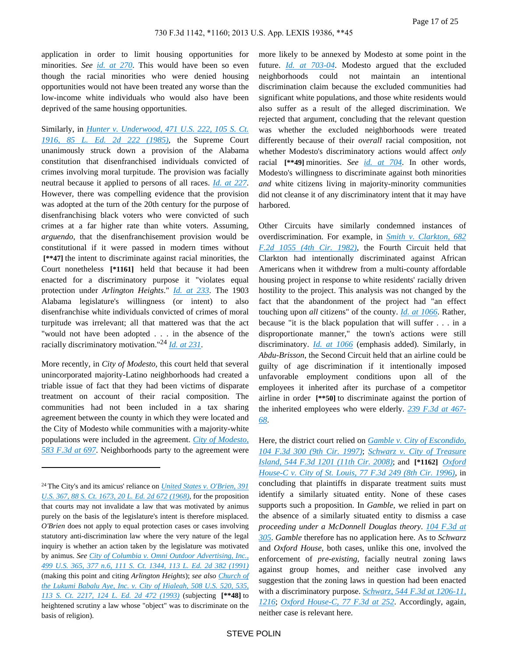application in order to limit housing opportunities for minorities. *See [id. at 270](https://advance.lexis.com/api/document?collection=cases&id=urn:contentItem:3S4X-9M30-003B-S4DP-00000-00&context=)*. This would have been so even though the racial minorities who were denied housing opportunities would not have been treated any worse than the low-income white individuals who would also have been deprived of the same housing opportunities.

Similarly, in *[Hunter v. Underwood, 471 U.S. 222, 105 S. Ct.](https://advance.lexis.com/api/document?collection=cases&id=urn:contentItem:3S4X-BWT0-0039-N0H9-00000-00&context=)  [1916, 85 L. Ed. 2d 222 \(1985\)](https://advance.lexis.com/api/document?collection=cases&id=urn:contentItem:3S4X-BWT0-0039-N0H9-00000-00&context=)*, the Supreme Court unanimously struck down a provision of the Alabama constitution that disenfranchised individuals convicted of crimes involving moral turpitude. The provision was facially neutral because it applied to persons of all races. *[Id. at 227](https://advance.lexis.com/api/document?collection=cases&id=urn:contentItem:3S4X-BWT0-0039-N0H9-00000-00&context=)*. However, there was compelling evidence that the provision was adopted at the turn of the 20th century for the purpose of disenfranchising black voters who were convicted of such crimes at a far higher rate than white voters. Assuming, *arguendo*, that the disenfranchisement provision would be constitutional if it were passed in modern times without  **[\*\*47]** the intent to discriminate against racial minorities, the Court nonetheless **[\*1161]** held that because it had been enacted for a discriminatory purpose it "violates equal protection under *Arlington Heights*." *[Id. at 233](https://advance.lexis.com/api/document?collection=cases&id=urn:contentItem:3S4X-BWT0-0039-N0H9-00000-00&context=)*. The 1903 Alabama legislature's willingness (or intent) to also disenfranchise white individuals convicted of crimes of moral turpitude was irrelevant; all that mattered was that the act "would not have been adopted . . . in the absence of the racially discriminatory motivation."<sup>24</sup> *[Id. at 231](https://advance.lexis.com/api/document?collection=cases&id=urn:contentItem:3S4X-BWT0-0039-N0H9-00000-00&context=)*.

More recently, in *City of Modesto*, this court held that several unincorporated majority-Latino neighborhoods had created a triable issue of fact that they had been victims of disparate treatment on account of their racial composition. The communities had not been included in a tax sharing agreement between the county in which they were located and the City of Modesto while communities with a majority-white populations were included in the agreement. *[City of Modesto,](https://advance.lexis.com/api/document?collection=cases&id=urn:contentItem:4XDF-D450-TXFX-D2BK-00000-00&context=)  [583 F.3d at 697](https://advance.lexis.com/api/document?collection=cases&id=urn:contentItem:4XDF-D450-TXFX-D2BK-00000-00&context=)*. Neighborhoods party to the agreement were more likely to be annexed by Modesto at some point in the future. *[Id. at 703-04](https://advance.lexis.com/api/document?collection=cases&id=urn:contentItem:4XDF-D450-TXFX-D2BK-00000-00&context=)*. Modesto argued that the excluded neighborhoods could not maintain an intentional discrimination claim because the excluded communities had significant white populations, and those white residents would also suffer as a result of the alleged discrimination. We rejected that argument, concluding that the relevant question was whether the excluded neighborhoods were treated differently because of their *overall* racial composition, not whether Modesto's discriminatory actions would affect *only* racial **[\*\*49]** minorities. *See [id. at 704](https://advance.lexis.com/api/document?collection=cases&id=urn:contentItem:4XDF-D450-TXFX-D2BK-00000-00&context=)*. In other words, Modesto's willingness to discriminate against both minorities *and* white citizens living in majority-minority communities did not cleanse it of any discriminatory intent that it may have harbored.

Other Circuits have similarly condemned instances of overdiscrimination. For example, in *[Smith v. Clarkton, 682](https://advance.lexis.com/api/document?collection=cases&id=urn:contentItem:3S4X-2KB0-003B-G1BN-00000-00&context=)  [F.2d 1055 \(4th Cir. 1982\)](https://advance.lexis.com/api/document?collection=cases&id=urn:contentItem:3S4X-2KB0-003B-G1BN-00000-00&context=)*, the Fourth Circuit held that Clarkton had intentionally discriminated against African Americans when it withdrew from a multi-county affordable housing project in response to white residents' racially driven hostility to the project. This analysis was not changed by the fact that the abandonment of the project had "an effect touching upon *all* citizens" of the county. *[Id. at 1066](https://advance.lexis.com/api/document?collection=cases&id=urn:contentItem:3S4X-2KB0-003B-G1BN-00000-00&context=)*. Rather, because "it is the black population that will suffer . . . in a disproportionate manner," the town's actions were still discriminatory. *[Id. at 1066](https://advance.lexis.com/api/document?collection=cases&id=urn:contentItem:3S4X-2KB0-003B-G1BN-00000-00&context=)* (emphasis added). Similarly, in *Abdu-Brisson*, the Second Circuit held that an airline could be guilty of age discrimination if it intentionally imposed unfavorable employment conditions upon all of the employees it inherited after its purchase of a competitor airline in order **[\*\*50]** to discriminate against the portion of the inherited employees who were elderly. *[239 F.3d at 467-](https://advance.lexis.com/api/document?collection=cases&id=urn:contentItem:42BS-Y2S0-0038-X2F0-00000-00&context=) [68](https://advance.lexis.com/api/document?collection=cases&id=urn:contentItem:42BS-Y2S0-0038-X2F0-00000-00&context=)*.

Here, the district court relied on *[Gamble v. City of Escondido,](https://advance.lexis.com/api/document?collection=cases&id=urn:contentItem:3S4X-JP10-00B1-D214-00000-00&context=)  [104 F.3d 300 \(9th Cir. 1997\)](https://advance.lexis.com/api/document?collection=cases&id=urn:contentItem:3S4X-JP10-00B1-D214-00000-00&context=)*; *[Schwarz v. City of Treasure](https://advance.lexis.com/api/document?collection=cases&id=urn:contentItem:4TMV-9C40-TX4N-G0F7-00000-00&context=)  [Island, 544 F.3d 1201 \(11th Cir. 2008\)](https://advance.lexis.com/api/document?collection=cases&id=urn:contentItem:4TMV-9C40-TX4N-G0F7-00000-00&context=)*; and **[\*1162]** *[Oxford](https://advance.lexis.com/api/document?collection=cases&id=urn:contentItem:3S4X-3RY0-006F-M1T2-00000-00&context=)  [House-C v. City of St. Louis, 77 F.3d 249 \(8th Cir. 1996\)](https://advance.lexis.com/api/document?collection=cases&id=urn:contentItem:3S4X-3RY0-006F-M1T2-00000-00&context=)*, in concluding that plaintiffs in disparate treatment suits must identify a similarly situated entity. None of these cases supports such a proposition. In *Gamble*, we relied in part on the absence of a similarly situated entity to dismiss a case *proceeding under a McDonnell Douglas theory*. *[104 F.3d at](https://advance.lexis.com/api/document?collection=cases&id=urn:contentItem:3S4X-JP10-00B1-D214-00000-00&context=)  [305](https://advance.lexis.com/api/document?collection=cases&id=urn:contentItem:3S4X-JP10-00B1-D214-00000-00&context=)*. *Gamble* therefore has no application here. As to *Schwarz* and *Oxford House*, both cases, unlike this one, involved the enforcement of *pre-existing*, facially neutral zoning laws against group homes, and neither case involved any suggestion that the zoning laws in question had been enacted with a discriminatory purpose. *[Schwarz, 544 F.3d at 1206-11,](https://advance.lexis.com/api/document?collection=cases&id=urn:contentItem:4TMV-9C40-TX4N-G0F7-00000-00&context=)  [1216](https://advance.lexis.com/api/document?collection=cases&id=urn:contentItem:4TMV-9C40-TX4N-G0F7-00000-00&context=)*; *[Oxford House-C, 77 F.3d at 252](https://advance.lexis.com/api/document?collection=cases&id=urn:contentItem:3S4X-3RY0-006F-M1T2-00000-00&context=)*. Accordingly, again, neither case is relevant here.

<sup>24</sup>The City's and its amicus' reliance on *[United States v. O'Brien, 391](https://advance.lexis.com/api/document?collection=cases&id=urn:contentItem:3S4X-FJ90-003B-S0HN-00000-00&context=)  [U.S. 367, 88 S. Ct. 1673, 20 L. Ed. 2d 672 \(1968\)](https://advance.lexis.com/api/document?collection=cases&id=urn:contentItem:3S4X-FJ90-003B-S0HN-00000-00&context=)*, for the proposition that courts may not invalidate a law that was motivated by animus purely on the basis of the legislature's intent is therefore misplaced. *O'Brien* does not apply to equal protection cases or cases involving statutory anti-discrimination law where the very nature of the legal inquiry is whether an action taken by the legislature was motivated by animus. *See [City of Columbia v. Omni Outdoor Advertising, Inc.,](https://advance.lexis.com/api/document?collection=cases&id=urn:contentItem:3S65-KV00-003B-R2J0-00000-00&context=)  [499 U.S. 365, 377 n.6, 111 S. Ct. 1344, 113 L. Ed. 2d 382 \(1991\)](https://advance.lexis.com/api/document?collection=cases&id=urn:contentItem:3S65-KV00-003B-R2J0-00000-00&context=)* (making this point and citing *Arlington Heights*); *see also [Church of](https://advance.lexis.com/api/document?collection=cases&id=urn:contentItem:3RJ6-FD20-003B-R0MY-00000-00&context=)  [the Lukumi Babalu Aye, Inc. v. City of Hialeah, 508 U.S. 520, 535,](https://advance.lexis.com/api/document?collection=cases&id=urn:contentItem:3RJ6-FD20-003B-R0MY-00000-00&context=)  [113 S. Ct. 2217, 124 L. Ed. 2d 472 \(1993\)](https://advance.lexis.com/api/document?collection=cases&id=urn:contentItem:3RJ6-FD20-003B-R0MY-00000-00&context=)* (subjecting **[\*\*48]** to heightened scrutiny a law whose "object" was to discriminate on the basis of religion).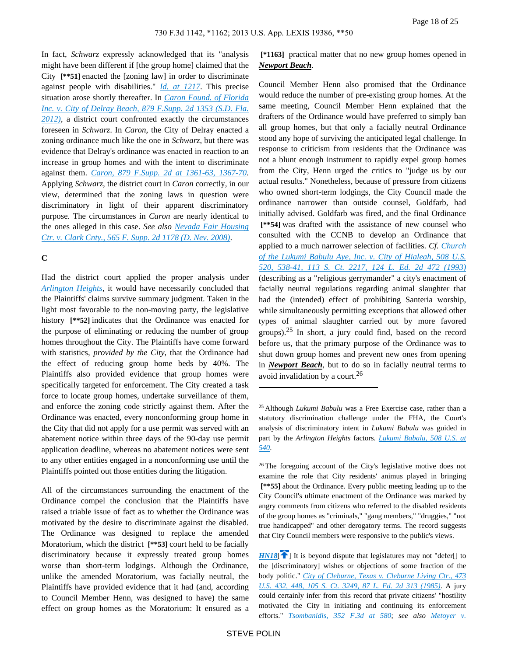In fact, *Schwarz* expressly acknowledged that its "analysis might have been different if [the group home] claimed that the City **[\*\*51]** enacted the [zoning law] in order to discriminate against people with disabilities." *[Id. at 1217](https://advance.lexis.com/api/document?collection=cases&id=urn:contentItem:4TMV-9C40-TX4N-G0F7-00000-00&context=)*. This precise situation arose shortly thereafter. In *[Caron Found. of Florida](https://advance.lexis.com/api/document?collection=cases&id=urn:contentItem:561N-55M1-F04D-14PW-00000-00&context=)  [Inc. v. City of Delray Beach, 879 F.Supp. 2d 1353 \(S.D. Fla.](https://advance.lexis.com/api/document?collection=cases&id=urn:contentItem:561N-55M1-F04D-14PW-00000-00&context=)  [2012\)](https://advance.lexis.com/api/document?collection=cases&id=urn:contentItem:561N-55M1-F04D-14PW-00000-00&context=)*, a district court confronted exactly the circumstances foreseen in *Schwarz*. In *Caron*, the City of Delray enacted a zoning ordinance much like the one in *Schwarz*, but there was evidence that Delray's ordinance was enacted in reaction to an increase in group homes and with the intent to discriminate against them. *[Caron, 879 F.Supp. 2d at 1361-63, 1367-70](https://advance.lexis.com/api/document?collection=cases&id=urn:contentItem:561N-55M1-F04D-14PW-00000-00&context=)*. Applying *Schwarz*, the district court in *Caron* correctly, in our view, determined that the zoning laws in question were discriminatory in light of their apparent discriminatory purpose. The circumstances in *Caron* are nearly identical to the ones alleged in this case. *See also [Nevada Fair Housing](https://advance.lexis.com/api/document?collection=cases&id=urn:contentItem:4T20-79K0-TXFR-H2GX-00000-00&context=)  [Ctr. v. Clark Cnty., 565 F. Supp. 2d 1178 \(D. Nev. 2008\)](https://advance.lexis.com/api/document?collection=cases&id=urn:contentItem:4T20-79K0-TXFR-H2GX-00000-00&context=)*.

### **C**

Had the district court applied the proper analysis under *[Arlington Heights](https://advance.lexis.com/api/document?collection=cases&id=urn:contentItem:3S4X-9M30-003B-S4DP-00000-00&context=)*, it would have necessarily concluded that the Plaintiffs' claims survive summary judgment. Taken in the light most favorable to the non-moving party, the legislative history **[\*\*52]** indicates that the Ordinance was enacted for the purpose of eliminating or reducing the number of group homes throughout the City. The Plaintiffs have come forward with statistics, *provided by the City*, that the Ordinance had the effect of reducing group home beds by 40%. The Plaintiffs also provided evidence that group homes were specifically targeted for enforcement. The City created a task force to locate group homes, undertake surveillance of them, and enforce the zoning code strictly against them. After the Ordinance was enacted, every nonconforming group home in the City that did not apply for a use permit was served with an abatement notice within three days of the 90-day use permit application deadline, whereas no abatement notices were sent to any other entities engaged in a nonconforming use until the Plaintiffs pointed out those entities during the litigation.

All of the circumstances surrounding the enactment of the Ordinance compel the conclusion that the Plaintiffs have raised a triable issue of fact as to whether the Ordinance was motivated by the desire to discriminate against the disabled. The Ordinance was designed to replace the amended Moratorium, which the district **[\*\*53]** court held to be facially discriminatory because it expressly treated group homes worse than short-term lodgings. Although the Ordinance, unlike the amended Moratorium, was facially neutral, the Plaintiffs have provided evidence that it had (and, according to Council Member Henn, was designed to have) the same effect on group homes as the Moratorium: It ensured as a

## **[\*1163]** practical matter that no new group homes opened in *Newport Beach*.

Council Member Henn also promised that the Ordinance would reduce the number of pre-existing group homes. At the same meeting, Council Member Henn explained that the drafters of the Ordinance would have preferred to simply ban all group homes, but that only a facially neutral Ordinance stood any hope of surviving the anticipated legal challenge. In response to criticism from residents that the Ordinance was not a blunt enough instrument to rapidly expel group homes from the City, Henn urged the critics to "judge us by our actual results." Nonetheless, because of pressure from citizens who owned short-term lodgings, the City Council made the ordinance narrower than outside counsel, Goldfarb, had initially advised. Goldfarb was fired, and the final Ordinance  **[\*\*54]** was drafted with the assistance of new counsel who consulted with the CCNB to develop an Ordinance that applied to a much narrower selection of facilities. *Cf. [Church](https://advance.lexis.com/api/document?collection=cases&id=urn:contentItem:3RJ6-FD20-003B-R0MY-00000-00&context=)  [of the Lukumi Babulu Aye, Inc. v. City of Hialeah, 508 U.S.](https://advance.lexis.com/api/document?collection=cases&id=urn:contentItem:3RJ6-FD20-003B-R0MY-00000-00&context=)  [520, 538-41, 113 S. Ct. 2217, 124 L. Ed. 2d 472 \(1993\)](https://advance.lexis.com/api/document?collection=cases&id=urn:contentItem:3RJ6-FD20-003B-R0MY-00000-00&context=)* (describing as a "religious gerrymander" a city's enactment of facially neutral regulations regarding animal slaughter that had the (intended) effect of prohibiting Santeria worship, while simultaneously permitting exceptions that allowed other types of animal slaughter carried out by more favored groups).25 In short, a jury could find, based on the record before us, that the primary purpose of the Ordinance was to shut down group homes and prevent new ones from opening in *Newport Beach*, but to do so in facially neutral terms to avoid invalidation by a court.<sup>26</sup>

<sup>25</sup>Although *Lukumi Babulu* was a Free Exercise case, rather than a statutory discrimination challenge under the FHA, the Court's analysis of discriminatory intent in *Lukumi Babulu* was guided in part by the *Arlington Heights* factors. *[Lukumi Babalu, 508 U.S. at](https://advance.lexis.com/api/document?collection=cases&id=urn:contentItem:3RJ6-FD20-003B-R0MY-00000-00&context=)  [540](https://advance.lexis.com/api/document?collection=cases&id=urn:contentItem:3RJ6-FD20-003B-R0MY-00000-00&context=)*.

<span id="page-17-0"></span>*[HN18](https://advance.lexis.com/api/document?collection=cases&id=urn:contentItem:59D4-S301-F04K-V0HG-00000-00&context=&link=clscc18)*<sup> $\uparrow$ </sup>] It is beyond dispute that legislatures may not "defer<sup>[\[](#page-3-4)]</sup> to the [discriminatory] wishes or objections of some fraction of the body politic." *[City of Cleburne, Texas v. Cleburne Living Ctr., 473](https://advance.lexis.com/api/document?collection=cases&id=urn:contentItem:3S4X-9Y50-0039-N48B-00000-00&context=)  [U.S. 432, 448, 105 S. Ct. 3249, 87 L. Ed. 2d 313 \(1985\)](https://advance.lexis.com/api/document?collection=cases&id=urn:contentItem:3S4X-9Y50-0039-N48B-00000-00&context=)*. A jury could certainly infer from this record that private citizens' "hostility motivated the City in initiating and continuing its enforcement efforts." *[Tsombanidis, 352 F.3d at 580](https://advance.lexis.com/api/document?collection=cases&id=urn:contentItem:4B7H-MTJ0-0038-X463-00000-00&context=)*; *see also [Metoyer v.](https://advance.lexis.com/api/document?collection=cases&id=urn:contentItem:4PS1-FMS0-TXFX-D3DF-00000-00&context=)* 

<sup>&</sup>lt;sup>26</sup>The foregoing account of the City's legislative motive does not examine the role that City residents' animus played in bringing  **[\*\*55]** about the Ordinance. Every public meeting leading up to the City Council's ultimate enactment of the Ordinance was marked by angry comments from citizens who referred to the disabled residents of the group homes as "criminals," "gang members," "druggies," "not true handicapped" and other derogatory terms. The record suggests that City Council members were responsive to the public's views.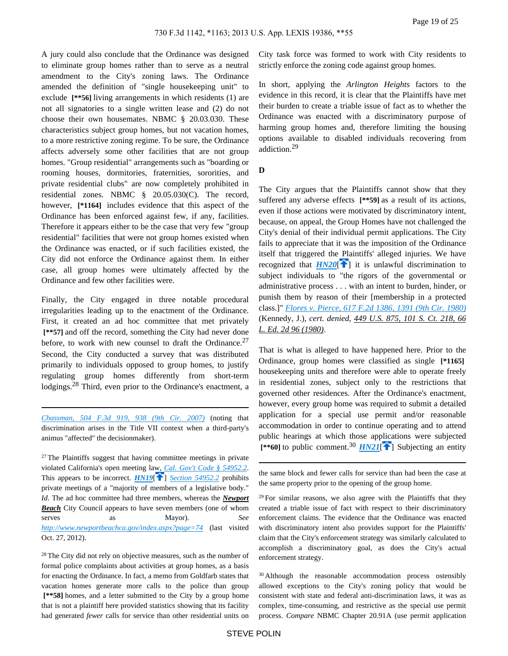A jury could also conclude that the Ordinance was designed to eliminate group homes rather than to serve as a neutral amendment to the City's zoning laws. The Ordinance amended the definition of "single housekeeping unit" to exclude **[\*\*56]** living arrangements in which residents (1) are not all signatories to a single written lease and (2) do not choose their own housemates. NBMC § 20.03.030. These characteristics subject group homes, but not vacation homes, to a more restrictive zoning regime. To be sure, the Ordinance affects adversely some other facilities that are not group homes. "Group residential" arrangements such as "boarding or rooming houses, dormitories, fraternities, sororities, and private residential clubs" are now completely prohibited in residential zones. NBMC § 20.05.030(C). The record, however, **[\*1164]** includes evidence that this aspect of the Ordinance has been enforced against few, if any, facilities. Therefore it appears either to be the case that very few "group residential" facilities that were not group homes existed when the Ordinance was enacted, or if such facilities existed, the City did not enforce the Ordinance against them. In either case, all group homes were ultimately affected by the Ordinance and few other facilities were.

Finally, the City engaged in three notable procedural irregularities leading up to the enactment of the Ordinance. First, it created an ad hoc committee that met privately  **[\*\*57]** and off the record, something the City had never done before, to work with new counsel to draft the Ordinance.<sup>27</sup> Second, the City conducted a survey that was distributed primarily to individuals opposed to group homes, to justify regulating group homes differently from short-term lodgings.<sup>28</sup> Third, even prior to the Ordinance's enactment, a

*[Chassman, 504 F.3d 919, 938 \(9th Cir. 2007\)](https://advance.lexis.com/api/document?collection=cases&id=urn:contentItem:4PS1-FMS0-TXFX-D3DF-00000-00&context=)* (noting that discrimination arises in the Title VII context when a third-party's animus "affected" the decisionmaker).

<span id="page-18-0"></span> $27$ The Plaintiffs suggest that having committee meetings in private violated California's open meeting law, *[Cal. Gov't Code § 54952.2](https://advance.lexis.com/api/document?collection=statutes-legislation&id=urn:contentItem:4WN7-NKN0-R03J-P496-00000-00&context=)*. This appears to be incorrect. *[HN19](https://advance.lexis.com/api/document?collection=cases&id=urn:contentItem:59D4-S301-F04K-V0HG-00000-00&context=&link=clscc19)*<sup>[\[](#page-3-5)4]</sup> *[Section 54952.2](https://advance.lexis.com/api/document?collection=statutes-legislation&id=urn:contentItem:4WN7-NKN0-R03J-P496-00000-00&context=)* prohibits private meetings of a "majority of members of a legislative body." *Id*. The ad hoc committee had three members, whereas the *Newport*  **Beach** City Council appears to have seven members (one of whom serves as Mayor). *See <http://www.newportbeachca.gov/index.aspx?page=74>* (last visited Oct. 27, 2012).

<sup>28</sup> The City did not rely on objective measures, such as the number of formal police complaints about activities at group homes, as a basis for enacting the Ordinance. In fact, a memo from Goldfarb states that vacation homes generate more calls to the police than group  **[\*\*58]** homes, and a letter submitted to the City by a group home that is not a plaintiff here provided statistics showing that its facility had generated *fewer* calls for service than other residential units on

City task force was formed to work with City residents to strictly enforce the zoning code against group homes.

In short, applying the *Arlington Heights* factors to the evidence in this record, it is clear that the Plaintiffs have met their burden to create a triable issue of fact as to whether the Ordinance was enacted with a discriminatory purpose of harming group homes and, therefore limiting the housing options available to disabled individuals recovering from addiction.<sup>29</sup>

**D**

<span id="page-18-1"></span>The City argues that the Plaintiffs cannot show that they suffered any adverse effects **[\*\*59]** as a result of its actions, even if those actions were motivated by discriminatory intent, because, on appeal, the Group Homes have not challenged the City's denial of their individual permit applications. The City fails to appreciate that it was the imposition of the Ordinance itself that triggered the Plaintiffs' alleged injuries. We have recognized that  $H N20$ <sup> $\uparrow$ </sup>] it is unlawful discrimination to subject individuals to "the rigors of the governmental or administrative process . . . with an intent to burden, hinder, or punish them by reason of their [membership in a protected class.]" *[Flores v. Pierce, 617 F.2d 1386, 1391 \(9th Cir. 1980\)](https://advance.lexis.com/api/document?collection=cases&id=urn:contentItem:3S4X-F950-0039-W1CN-00000-00&context=)* (Kennedy, J.), *cert. denied*, *449 U.S. 875, 101 S. Ct. 218, 66 L. Ed. 2d 96 (1980)*.

That is what is alleged to have happened here. Prior to the Ordinance, group homes were classified as single **[\*1165]**  housekeeping units and therefore were able to operate freely in residential zones, subject only to the restrictions that governed other residences. After the Ordinance's enactment, however, every group home was required to submit a detailed application for a special use permit and/or reasonable accommodation in order to continue operating and to attend public hearings at which those applications were subjected  $[**60]$  $[**60]$  to public comment.<sup>30</sup> *[HN21](https://advance.lexis.com/api/document?collection=cases&id=urn:contentItem:59D4-S301-F04K-V0HG-00000-00&context=&link=clscc21)*<sup>[ $\uparrow$ </sup>] Subjecting an entity

<span id="page-18-2"></span>the same block and fewer calls for service than had been the case at the same property prior to the opening of the group home.

 $29$  For similar reasons, we also agree with the Plaintiffs that they created a triable issue of fact with respect to their discriminatory enforcement claims. The evidence that the Ordinance was enacted with discriminatory intent also provides support for the Plaintiffs' claim that the City's enforcement strategy was similarly calculated to accomplish a discriminatory goal, as does the City's actual enforcement strategy.

<sup>30</sup>Although the reasonable accommodation process ostensibly allowed exceptions to the City's zoning policy that would be consistent with state and federal anti-discrimination laws, it was as complex, time-consuming, and restrictive as the special use permit process. *Compare* NBMC Chapter 20.91A (use permit application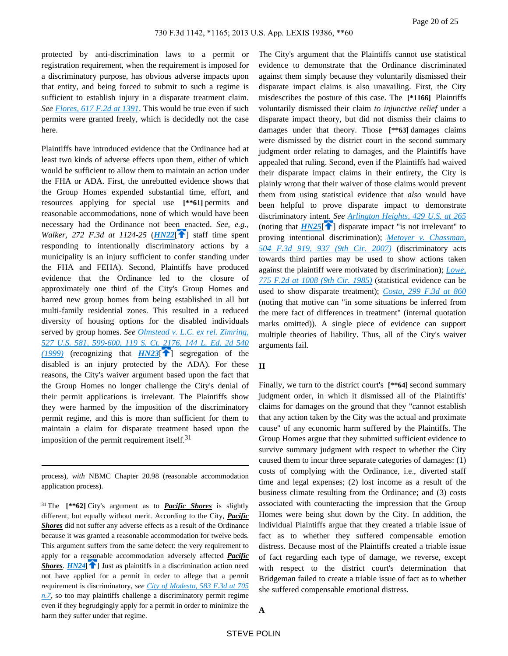protected by anti-discrimination laws to a permit or registration requirement, when the requirement is imposed for a discriminatory purpose, has obvious adverse impacts upon that entity, and being forced to submit to such a regime is sufficient to establish injury in a disparate treatment claim. *See [Flores, 617 F.2d at 1391](https://advance.lexis.com/api/document?collection=cases&id=urn:contentItem:3S4X-F950-0039-W1CN-00000-00&context=)*. This would be true even if such permits were granted freely, which is decidedly not the case here.

<span id="page-19-0"></span>Plaintiffs have introduced evidence that the Ordinance had at least two kinds of adverse effects upon them, either of which would be sufficient to allow them to maintain an action under the FHA or ADA. First, the unrebutted evidence shows that the Group Homes expended substantial time, effort, and resources applying for special use **[\*\*61]** permits and reasonable accommodations, none of which would have been necessary had the Ordinance not been enacted. *See, e.g., Walker, 272 F.3d at 1124-25 ([HN22](https://advance.lexis.com/api/document?collection=cases&id=urn:contentItem:59D4-S301-F04K-V0HG-00000-00&context=&link=clscc22)*<sup>[4]</sup> staff time spent responding to intentionally discriminatory actions by a municipality is an injury sufficient to confer standing under the FHA and FEHA). Second, Plaintiffs have produced evidence that the Ordinance led to the closure of approximately one third of the City's Group Homes and barred new group homes from being established in all but multi-family residential zones. This resulted in a reduced diversity of housing options for the disabled individuals served by group homes. *See [Olmstead v. L.C. ex rel. Zimring,](https://advance.lexis.com/api/document?collection=cases&id=urn:contentItem:3WSC-9XD0-004B-Y01R-00000-00&context=)  [527 U.S. 581, 599-600, 119 S. Ct. 2176, 144 L. Ed. 2d 540](https://advance.lexis.com/api/document?collection=cases&id=urn:contentItem:3WSC-9XD0-004B-Y01R-00000-00&context=)*   $(1999)$  (recognizing that  $H N 23$ <sup>[ $\uparrow$ </sup>[\]](#page-4-0) segregation of the disabled is an injury protected by the ADA). For these reasons, the City's waiver argument based upon the fact that the Group Homes no longer challenge the City's denial of their permit applications is irrelevant. The Plaintiffs show they were harmed by the imposition of the discriminatory permit regime, and this is more than sufficient for them to maintain a claim for disparate treatment based upon the imposition of the permit requirement itself. $31$ 

process), *with* NBMC Chapter 20.98 (reasonable accommodation application process).

<span id="page-19-2"></span><sup>31</sup>The **[\*\*62]** City's argument as to *Pacific Shores* is slightly different, but equally without merit. According to the City, *Pacific Shores* did not suffer any adverse effects as a result of the Ordinance because it was granted a reasonable accommodation for twelve beds. This argument suffers from the same defect: the very requirement to apply for a reasonable accommodation adversely affected *Pacific Shores.*  $H N24$   $\uparrow$  ] Just as plaintiffs in a discrimination action need not have applied for a permit in order to allege that a permit requirement is discriminatory, *see [City of Modesto, 583 F.3d at 705](https://advance.lexis.com/api/document?collection=cases&id=urn:contentItem:4XDF-D450-TXFX-D2BK-00000-00&context=)  [n.7](https://advance.lexis.com/api/document?collection=cases&id=urn:contentItem:4XDF-D450-TXFX-D2BK-00000-00&context=)*, so too may plaintiffs challenge a discriminatory permit regime even if they begrudgingly apply for a permit in order to minimize the harm they suffer under that regime.

The City's argument that the Plaintiffs cannot use statistical evidence to demonstrate that the Ordinance discriminated against them simply because they voluntarily dismissed their disparate impact claims is also unavailing. First, the City misdescribes the posture of this case. The **[\*1166]** Plaintiffs voluntarily dismissed their claim *to injunctive relief* under a disparate impact theory, but did not dismiss their claims to damages under that theory. Those **[\*\*63]** damages claims were dismissed by the district court in the second summary judgment order relating to damages, and the Plaintiffs have appealed that ruling. Second, even if the Plaintiffs had waived their disparate impact claims in their entirety, the City is plainly wrong that their waiver of those claims would prevent them from using statistical evidence that *also* would have been helpful to prove disparate impact to demonstrate discriminatory intent. *See [Arlington Heights, 429 U.S. at 265](https://advance.lexis.com/api/document?collection=cases&id=urn:contentItem:3S4X-9M30-003B-S4DP-00000-00&context=)* (noting that  $H N25$ <sup>[ $\uparrow$ </sup>] disparate impact "is not irrelevant" to proving intentional discrimination); *[Metoyer v. Chassman,](https://advance.lexis.com/api/document?collection=cases&id=urn:contentItem:4PS1-FMS0-TXFX-D3DF-00000-00&context=)  [504 F.3d 919, 937 \(9th Cir. 2007\)](https://advance.lexis.com/api/document?collection=cases&id=urn:contentItem:4PS1-FMS0-TXFX-D3DF-00000-00&context=)* (discriminatory acts towards third parties may be used to show actions taken against the plaintiff were motivated by discrimination); *[Lowe,](https://advance.lexis.com/api/document?collection=cases&id=urn:contentItem:3S4X-D3J0-0039-P3B6-00000-00&context=)  [775 F.2d at 1008 \(9th Cir. 1985\)](https://advance.lexis.com/api/document?collection=cases&id=urn:contentItem:3S4X-D3J0-0039-P3B6-00000-00&context=)* (statistical evidence can be used to show disparate treatment); *[Costa, 299 F.3d at 860](https://advance.lexis.com/api/document?collection=cases&id=urn:contentItem:46DX-6YS0-0038-X0CM-00000-00&context=)* (noting that motive can "in some situations be inferred from the mere fact of differences in treatment" (internal quotation marks omitted)). A single piece of evidence can support multiple theories of liability. Thus, all of the City's waiver arguments fail.

### <span id="page-19-3"></span><span id="page-19-1"></span>**II**

Finally, we turn to the district court's **[\*\*64]** second summary judgment order, in which it dismissed all of the Plaintiffs' claims for damages on the ground that they "cannot establish that any action taken by the City was the actual and proximate cause" of any economic harm suffered by the Plaintiffs. The Group Homes argue that they submitted sufficient evidence to survive summary judgment with respect to whether the City caused them to incur three separate categories of damages: (1) costs of complying with the Ordinance, i.e., diverted staff time and legal expenses; (2) lost income as a result of the business climate resulting from the Ordinance; and (3) costs associated with counteracting the impression that the Group Homes were being shut down by the City. In addition, the individual Plaintiffs argue that they created a triable issue of fact as to whether they suffered compensable emotion distress. Because most of the Plaintiffs created a triable issue of fact regarding each type of damage, we reverse, except with respect to the district court's determination that Bridgeman failed to create a triable issue of fact as to whether she suffered compensable emotional distress.

**A**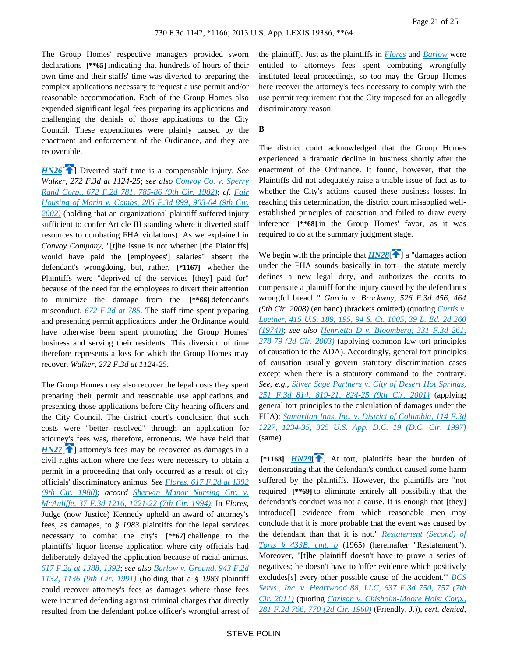The Group Homes' respective managers provided sworn declarations **[\*\*65]** indicating that hundreds of hours of their own time and their staffs' time was diverted to preparing the complex applications necessary to request a use permit and/or reasonable accommodation. Each of the Group Homes also expended significant legal fees preparing its applications and challenging the denials of those applications to the City Council. These expenditures were plainly caused by the enactment and enforcement of the Ordinance, and they are recoverable.

<span id="page-20-0"></span>*[HN26](https://advance.lexis.com/api/document?collection=cases&id=urn:contentItem:59D4-S301-F04K-V0HG-00000-00&context=&link=clscc26)*[\[](#page-4-2) ] Diverted staff time is a compensable injury. *See Walker, 272 F.3d at 1124-25*; *see also [Convoy Co. v. Sperry](https://advance.lexis.com/api/document?collection=cases&id=urn:contentItem:3RTS-KGJ0-003B-G02X-00000-00&context=)  [Rand Corp., 672 F.2d 781, 785-86 \(9th Cir. 1982\)](https://advance.lexis.com/api/document?collection=cases&id=urn:contentItem:3RTS-KGJ0-003B-G02X-00000-00&context=)*; *cf. [Fair](https://advance.lexis.com/api/document?collection=cases&id=urn:contentItem:45JC-MX30-0038-X4GP-00000-00&context=)  [Housing of Marin v. Combs, 285 F.3d 899, 903-04 \(9th Cir.](https://advance.lexis.com/api/document?collection=cases&id=urn:contentItem:45JC-MX30-0038-X4GP-00000-00&context=)  [2002\)](https://advance.lexis.com/api/document?collection=cases&id=urn:contentItem:45JC-MX30-0038-X4GP-00000-00&context=)* (holding that an organizational plaintiff suffered injury sufficient to confer Article III standing where it diverted staff resources to combating FHA violations). As we explained in *Convoy Company*, "[t]he issue is not whether [the Plaintiffs] would have paid the [employees'] salaries" absent the defendant's wrongdoing, but, rather, **[\*1167]** whether the Plaintiffs were "deprived of the services [they] paid for" because of the need for the employees to divert their attention to minimize the damage from the **[\*\*66]** defendant's misconduct. *[672 F.2d at 785](https://advance.lexis.com/api/document?collection=cases&id=urn:contentItem:3RTS-KGJ0-003B-G02X-00000-00&context=)*. The staff time spent preparing and presenting permit applications under the Ordinance would have otherwise been spent promoting the Group Homes' business and serving their residents. This diversion of time therefore represents a loss for which the Group Homes may recover. *Walker, 272 F.3d at 1124-25*.

<span id="page-20-1"></span>The Group Homes may also recover the legal costs they spent preparing their permit and reasonable use applications and presenting those applications before City hearing officers and the City Council. The district court's conclusion that such costs were "better resolved" through an application for attorney's fees was, therefore, erroneous. We have held that *[HN27](https://advance.lexis.com/api/document?collection=cases&id=urn:contentItem:59D4-S301-F04K-V0HG-00000-00&context=&link=clscc27)*<sup>[\[](#page-4-3)4]</sup> attorney's fees may be recovered as damages in a civil rights action where the fees were necessary to obtain a permit in a proceeding that only occurred as a result of city officials' discriminatory animus. *See [Flores, 617 F.2d at 1392](https://advance.lexis.com/api/document?collection=cases&id=urn:contentItem:3S4X-F950-0039-W1CN-00000-00&context=)  [\(9th Cir. 1980\)](https://advance.lexis.com/api/document?collection=cases&id=urn:contentItem:3S4X-F950-0039-W1CN-00000-00&context=)*; *accord [Sherwin Manor Nursing Ctr. v.](https://advance.lexis.com/api/document?collection=cases&id=urn:contentItem:3S4X-21Y0-003B-P18W-00000-00&context=)  [McAuliffe, 37 F.3d 1216, 1221-22 \(7th Cir. 1994\)](https://advance.lexis.com/api/document?collection=cases&id=urn:contentItem:3S4X-21Y0-003B-P18W-00000-00&context=)*. In *Flores*, Judge (now Justice) Kennedy upheld an award of attorney's fees, as damages, to *§ 1983* plaintiffs for the legal services necessary to combat the city's **[\*\*67]** challenge to the plaintiffs' liquor license application where city officials had deliberately delayed the application because of racial animus. *[617 F.2d at 1388, 1392](https://advance.lexis.com/api/document?collection=cases&id=urn:contentItem:3S4X-F950-0039-W1CN-00000-00&context=)*; *see also [Barlow v. Ground, 943 F.2d](https://advance.lexis.com/api/document?collection=cases&id=urn:contentItem:3S4X-8SM0-008H-V1PW-00000-00&context=)  [1132, 1136 \(9th Cir. 1991\)](https://advance.lexis.com/api/document?collection=cases&id=urn:contentItem:3S4X-8SM0-008H-V1PW-00000-00&context=)* (holding that a *§ 1983* plaintiff could recover attorney's fees as damages where those fees were incurred defending against criminal charges that directly resulted from the defendant police officer's wrongful arrest of

the plaintiff). Just as the plaintiffs in *[Flores](https://advance.lexis.com/api/document?collection=cases&id=urn:contentItem:3S4X-F950-0039-W1CN-00000-00&context=)* and *[Barlow](https://advance.lexis.com/api/document?collection=cases&id=urn:contentItem:3S4X-8SM0-008H-V1PW-00000-00&context=)* were entitled to attorneys fees spent combating wrongfully instituted legal proceedings, so too may the Group Homes here recover the attorney's fees necessary to comply with the use permit requirement that the City imposed for an allegedly discriminatory reason.

## **B**

The district court acknowledged that the Group Homes experienced a dramatic decline in business shortly after the enactment of the Ordinance. It found, however, that the Plaintiffs did not adequately raise a triable issue of fact as to whether the City's actions caused these business losses. In reaching this determination, the district court misapplied wellestablished principles of causation and failed to draw every inference **[\*\*68]** in the Group Homes' favor, as it was required to do at the summary judgment stage.

<span id="page-20-2"></span>We begin with the principle that  $H N 28$ [\[](#page-4-4) $\uparrow$ ] a "damages action under the FHA sounds basically in tort—the statute merely defines a new legal duty, and authorizes the courts to compensate a plaintiff for the injury caused by the defendant's wrongful breach." *Garcia v. Brockway, 526 F.3d 456, 464 (9th Cir. 2008)* (en banc) (brackets omitted) (quoting *[Curtis v.](https://advance.lexis.com/api/document?collection=cases&id=urn:contentItem:3S4X-CF30-003B-S414-00000-00&context=)  [Loether, 415 U.S. 189, 195, 94 S. Ct. 1005, 39 L. Ed. 2d 260](https://advance.lexis.com/api/document?collection=cases&id=urn:contentItem:3S4X-CF30-003B-S414-00000-00&context=)  [\(1974\)\)](https://advance.lexis.com/api/document?collection=cases&id=urn:contentItem:3S4X-CF30-003B-S414-00000-00&context=)*; *see also [Henrietta D v. Bloomberg, 331 F.3d 261,](https://advance.lexis.com/api/document?collection=cases&id=urn:contentItem:48T6-7SV0-0038-X13H-00000-00&context=)  [278-79 \(2d Cir. 2003\)](https://advance.lexis.com/api/document?collection=cases&id=urn:contentItem:48T6-7SV0-0038-X13H-00000-00&context=)* (applying common law tort principles of causation to the ADA). Accordingly, general tort principles of causation usually govern statutory discrimination cases except when there is a statutory command to the contrary. *See, e.g., [Silver Sage Partners v. City of Desert Hot Springs,](https://advance.lexis.com/api/document?collection=cases&id=urn:contentItem:4361-R250-0038-X113-00000-00&context=)  [251 F.3d 814, 819-21, 824-25 \(9th Cir. 2001\)](https://advance.lexis.com/api/document?collection=cases&id=urn:contentItem:4361-R250-0038-X113-00000-00&context=)* (applying general tort principles to the calculation of damages under the FHA); *[Samaritan Inns, Inc. v. District of Columbia, 114 F.3d](https://advance.lexis.com/api/document?collection=cases&id=urn:contentItem:3RPN-MSV0-00B1-D1SF-00000-00&context=)  [1227, 1234-35, 325 U.S. App. D.C. 19 \(D.C. Cir. 1997\)](https://advance.lexis.com/api/document?collection=cases&id=urn:contentItem:3RPN-MSV0-00B1-D1SF-00000-00&context=)* (same).

<span id="page-20-3"></span> **[\*1168]** *[HN29](https://advance.lexis.com/api/document?collection=cases&id=urn:contentItem:59D4-S301-F04K-V0HG-00000-00&context=&link=clscc29)*[ [\]](#page-4-5) At tort, plaintiffs bear the burden of demonstrating that the defendant's conduct caused some harm suffered by the plaintiffs. However, the plaintiffs are "not required **[\*\*69]** to eliminate entirely all possibility that the defendant's conduct was not a cause. It is enough that [they] introduce[] evidence from which reasonable men may conclude that it is more probable that the event was caused by the defendant than that it is not." *[Restatement \(Second\) of](https://advance.lexis.com/api/document?collection=analytical-materials&id=urn:contentItem:42JH-HPC0-00YF-T0KX-00000-00&context=)  [Torts § 433B, cmt. b](https://advance.lexis.com/api/document?collection=analytical-materials&id=urn:contentItem:42JH-HPC0-00YF-T0KX-00000-00&context=)* (1965) (hereinafter "Restatement"). Moreover, "[t]he plaintiff doesn't have to prove a series of negatives; he doesn't have to 'offer evidence which positively excludes[s] every other possible cause of the accident.'" *[BCS](https://advance.lexis.com/api/document?collection=cases&id=urn:contentItem:52FW-1VM1-F04K-R033-00000-00&context=)  [Servs., Inc. v. Heartwood 88, LLC, 637 F.3d 750, 757 \(7th](https://advance.lexis.com/api/document?collection=cases&id=urn:contentItem:52FW-1VM1-F04K-R033-00000-00&context=)  [Cir. 2011\)](https://advance.lexis.com/api/document?collection=cases&id=urn:contentItem:52FW-1VM1-F04K-R033-00000-00&context=)* (quoting *[Carlson v. Chisholm-Moore Hoist Corp.,](https://advance.lexis.com/api/document?collection=cases&id=urn:contentItem:3S4X-5BP0-0039-Y29S-00000-00&context=)  [281 F.2d 766, 770 \(2d Cir. 1960\)](https://advance.lexis.com/api/document?collection=cases&id=urn:contentItem:3S4X-5BP0-0039-Y29S-00000-00&context=)* (Friendly, J.)), *cert. denied*,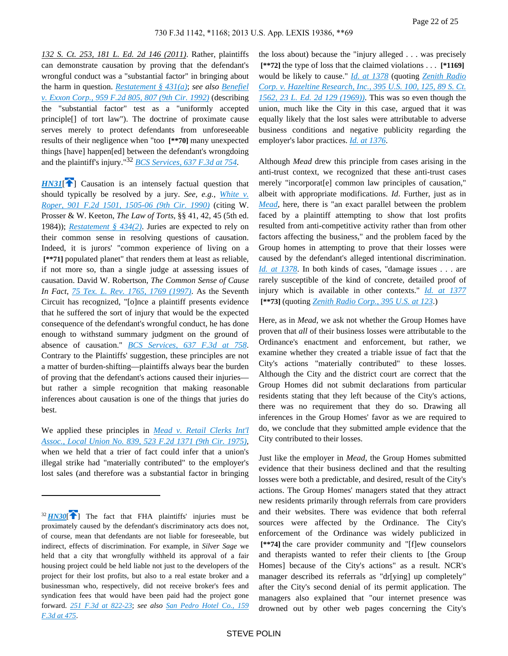*132 S. Ct. 253, 181 L. Ed. 2d 146 (2011)*. Rather, plaintiffs can demonstrate causation by proving that the defendant's wrongful conduct was a "substantial factor" in bringing about the harm in question. *[Restatement § 431\(a\)](https://advance.lexis.com/api/document?collection=analytical-materials&id=urn:contentItem:42JH-HPB0-00YF-T0KS-00000-00&context=)*; *see also [Benefiel](https://advance.lexis.com/api/document?collection=cases&id=urn:contentItem:3S4X-5060-008H-V2MJ-00000-00&context=)  [v. Exxon Corp., 959 F.2d 805, 807 \(9th Cir. 1992\)](https://advance.lexis.com/api/document?collection=cases&id=urn:contentItem:3S4X-5060-008H-V2MJ-00000-00&context=)* (describing the "substantial factor" test as a "uniformly accepted principle[] of tort law"). The doctrine of proximate cause serves merely to protect defendants from unforeseeable results of their negligence when "too **[\*\*70]** many unexpected things [have] happen[ed] between the defendant's wrongdoing and the plaintiff's injury."<sup>32</sup> *[BCS Services, 637 F.3d at 754](https://advance.lexis.com/api/document?collection=cases&id=urn:contentItem:52FW-1VM1-F04K-R033-00000-00&context=)*.

<span id="page-21-1"></span>*[HN31](https://advance.lexis.com/api/document?collection=cases&id=urn:contentItem:59D4-S301-F04K-V0HG-00000-00&context=&link=clscc31)*[\[](#page-5-0) ] Causation is an intensely factual question that should typically be resolved by a jury. *See, e.g., [White v.](https://advance.lexis.com/api/document?collection=cases&id=urn:contentItem:3S4X-5KY0-003B-510J-00000-00&context=)  [Roper, 901 F.2d 1501, 1505-06 \(9th Cir. 1990\)](https://advance.lexis.com/api/document?collection=cases&id=urn:contentItem:3S4X-5KY0-003B-510J-00000-00&context=)* (citing W. Prosser & W. Keeton, *The Law of Torts*, §§ 41, 42, 45 (5th ed. 1984)); *[Restatement § 434\(2\)](https://advance.lexis.com/api/document?collection=analytical-materials&id=urn:contentItem:42JH-HPB0-00YF-T0KS-00000-00&context=)*. Juries are expected to rely on their common sense in resolving questions of causation. Indeed, it is jurors' "common experience of living on a  **[\*\*71]** populated planet" that renders them at least as reliable, if not more so, than a single judge at assessing issues of causation. David W. Robertson, *The Common Sense of Cause In Fact*, *[75 Tex. L. Rev. 1765, 1769 \(1997\)](https://advance.lexis.com/api/document?collection=analytical-materials&id=urn:contentItem:3S41-26N0-00CV-60V6-00000-00&context=)*. As the Seventh Circuit has recognized, "[o]nce a plaintiff presents evidence that he suffered the sort of injury that would be the expected consequence of the defendant's wrongful conduct, he has done enough to withstand summary judgment on the ground of absence of causation." *[BCS Services, 637 F.3d at 758](https://advance.lexis.com/api/document?collection=cases&id=urn:contentItem:52FW-1VM1-F04K-R033-00000-00&context=)*. Contrary to the Plaintiffs' suggestion, these principles are not a matter of burden-shifting—plaintiffs always bear the burden of proving that the defendant's actions caused their injuries but rather a simple recognition that making reasonable inferences about causation is one of the things that juries do best.

We applied these principles in *[Mead v. Retail Clerks Int'l](https://advance.lexis.com/api/document?collection=cases&id=urn:contentItem:3S4X-2HH0-0039-M3YY-00000-00&context=)  [Assoc., Local Union No. 839, 523 F.2d 1371 \(9th Cir. 1975\)](https://advance.lexis.com/api/document?collection=cases&id=urn:contentItem:3S4X-2HH0-0039-M3YY-00000-00&context=)*, when we held that a trier of fact could infer that a union's illegal strike had "materially contributed" to the employer's lost sales (and therefore was a substantial factor in bringing

the loss about) because the "injury alleged . . . was precisely  **[\*\*72]** the type of loss that the claimed violations . . . **[\*1169]**  would be likely to cause." *[Id. at 1378](https://advance.lexis.com/api/document?collection=cases&id=urn:contentItem:3S4X-2HH0-0039-M3YY-00000-00&context=)* (quoting *[Zenith Radio](https://advance.lexis.com/api/document?collection=cases&id=urn:contentItem:3S4X-F880-003B-S1K4-00000-00&context=)  [Corp. v. Hazeltine Research, Inc., 395 U.S. 100, 125, 89 S. Ct.](https://advance.lexis.com/api/document?collection=cases&id=urn:contentItem:3S4X-F880-003B-S1K4-00000-00&context=)  [1562, 23 L. Ed. 2d 129 \(1969\)\)](https://advance.lexis.com/api/document?collection=cases&id=urn:contentItem:3S4X-F880-003B-S1K4-00000-00&context=)*. This was so even though the union, much like the City in this case, argued that it was equally likely that the lost sales were attributable to adverse business conditions and negative publicity regarding the employer's labor practices. *[Id. at 1376](https://advance.lexis.com/api/document?collection=cases&id=urn:contentItem:3S4X-2HH0-0039-M3YY-00000-00&context=)*.

Although *Mead* drew this principle from cases arising in the anti-trust context, we recognized that these anti-trust cases merely "incorporat[e] common law principles of causation," albeit with appropriate modifications. *Id*. Further, just as in *[Mead](https://advance.lexis.com/api/document?collection=cases&id=urn:contentItem:3S4X-2HH0-0039-M3YY-00000-00&context=)*, here, there is "an exact parallel between the problem faced by a plaintiff attempting to show that lost profits resulted from anti-competitive activity rather than from other factors affecting the business," and the problem faced by the Group homes in attempting to prove that their losses were caused by the defendant's alleged intentional discrimination. *[Id. at 1378](https://advance.lexis.com/api/document?collection=cases&id=urn:contentItem:3S4X-2HH0-0039-M3YY-00000-00&context=)*. In both kinds of cases, "damage issues . . . are rarely susceptible of the kind of concrete, detailed proof of injury which is available in other contexts." *[Id. at 1377](https://advance.lexis.com/api/document?collection=cases&id=urn:contentItem:3S4X-2HH0-0039-M3YY-00000-00&context=)*  **[\*\*73]** (quoting *[Zenith Radio Corp., 395 U.S. at 123](https://advance.lexis.com/api/document?collection=cases&id=urn:contentItem:3S4X-F880-003B-S1K4-00000-00&context=)*.)

Here, as in *Mead*, we ask not whether the Group Homes have proven that *all* of their business losses were attributable to the Ordinance's enactment and enforcement, but rather, we examine whether they created a triable issue of fact that the City's actions "materially contributed" to these losses. Although the City and the district court are correct that the Group Homes did not submit declarations from particular residents stating that they left because of the City's actions, there was no requirement that they do so. Drawing all inferences in the Group Homes' favor as we are required to do, we conclude that they submitted ample evidence that the City contributed to their losses.

Just like the employer in *Mead*, the Group Homes submitted evidence that their business declined and that the resulting losses were both a predictable, and desired, result of the City's actions. The Group Homes' managers stated that they attract new residents primarily through referrals from care providers and their websites. There was evidence that both referral sources were affected by the Ordinance. The City's enforcement of the Ordinance was widely publicized in  **[\*\*74]** the care provider community and "[f]ew counselors and therapists wanted to refer their clients to [the Group Homes] because of the City's actions" as a result. NCR's manager described its referrals as "dr[ying] up completely" after the City's second denial of its permit application. The managers also explained that "our internet presence was drowned out by other web pages concerning the City's

<span id="page-21-0"></span> $32$  [HN30](https://advance.lexis.com/api/document?collection=cases&id=urn:contentItem:59D4-S301-F04K-V0HG-00000-00&context=&link=clscc30)<sup> $\uparrow$ </sup>] The fact that FHA plaintiffs' injuries must be proximately caused by the defendant's discriminatory acts does not, of course, mean that defendants are not liable for foreseeable, but indirect, effects of discrimination. For example, in *Silver Sage* we held that a city that wrongfully withheld its approval of a fair housing project could be held liable not just to the developers of the project for their lost profits, but also to a real estate broker and a businessman who, respectively, did not receive broker's fees and syndication fees that would have been paid had the project gone forward. *[251 F.3d at 822-23](https://advance.lexis.com/api/document?collection=cases&id=urn:contentItem:4361-R250-0038-X113-00000-00&context=)*; *see also [San Pedro Hotel Co., 159](https://advance.lexis.com/api/document?collection=cases&id=urn:contentItem:3V20-86N0-0038-X1PY-00000-00&context=)  [F.3d at 475](https://advance.lexis.com/api/document?collection=cases&id=urn:contentItem:3V20-86N0-0038-X1PY-00000-00&context=)*.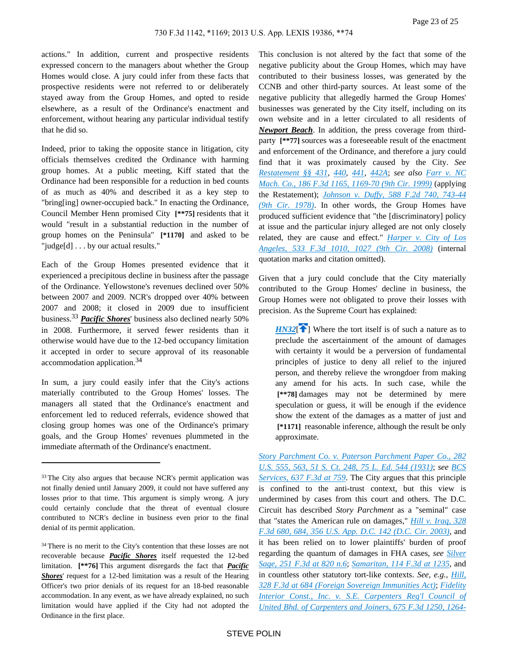actions." In addition, current and prospective residents expressed concern to the managers about whether the Group Homes would close. A jury could infer from these facts that prospective residents were not referred to or deliberately stayed away from the Group Homes, and opted to reside elsewhere, as a result of the Ordinance's enactment and enforcement, without hearing any particular individual testify that he did so.

Indeed, prior to taking the opposite stance in litigation, city officials themselves credited the Ordinance with harming group homes. At a public meeting, Kiff stated that the Ordinance had been responsible for a reduction in bed counts of as much as 40% and described it as a key step to "bring[ing] owner-occupied back." In enacting the Ordinance, Council Member Henn promised City **[\*\*75]** residents that it would "result in a substantial reduction in the number of group homes on the Peninsula" **[\*1170]** and asked to be "judge[d] . . . by our actual results."

Each of the Group Homes presented evidence that it experienced a precipitous decline in business after the passage of the Ordinance. Yellowstone's revenues declined over 50% between 2007 and 2009. NCR's dropped over 40% between 2007 and 2008; it closed in 2009 due to insufficient business.<sup>33</sup> *Pacific Shores*' business also declined nearly 50% in 2008. Furthermore, it served fewer residents than it otherwise would have due to the 12-bed occupancy limitation it accepted in order to secure approval of its reasonable accommodation application.<sup>34</sup>

In sum, a jury could easily infer that the City's actions materially contributed to the Group Homes' losses. The managers all stated that the Ordinance's enactment and enforcement led to reduced referrals, evidence showed that closing group homes was one of the Ordinance's primary goals, and the Group Homes' revenues plummeted in the immediate aftermath of the Ordinance's enactment.

This conclusion is not altered by the fact that some of the negative publicity about the Group Homes, which may have contributed to their business losses, was generated by the CCNB and other third-party sources. At least some of the negative publicity that allegedly harmed the Group Homes' businesses was generated by the City itself, including on its own website and in a letter circulated to all residents of *Newport Beach*. In addition, the press coverage from thirdparty **[\*\*77]** sources was a foreseeable result of the enactment and enforcement of the Ordinance, and therefore a jury could find that it was proximately caused by the City. *See [Restatement §§ 431](https://advance.lexis.com/api/document?collection=analytical-materials&id=urn:contentItem:42JH-HPB0-00YF-T0KS-00000-00&context=)*, *[440](https://advance.lexis.com/api/document?collection=analytical-materials&id=urn:contentItem:42JH-HPC0-00YF-T0M9-00000-00&context=)*, *[441](https://advance.lexis.com/api/document?collection=analytical-materials&id=urn:contentItem:42JH-HPC0-00YF-T0MB-00000-00&context=)*, *[442A](https://advance.lexis.com/api/document?collection=analytical-materials&id=urn:contentItem:42JH-HPC0-00YF-T0MD-00000-00&context=)*; *see also [Farr v. NC](https://advance.lexis.com/api/document?collection=cases&id=urn:contentItem:3X41-5HG0-0038-X3DB-00000-00&context=)  [Mach. Co., 186 F.3d 1165, 1169-70 \(9th Cir. 1999\)](https://advance.lexis.com/api/document?collection=cases&id=urn:contentItem:3X41-5HG0-0038-X3DB-00000-00&context=)* (applying the Restatement); *[Johnson v. Duffy, 588 F.2d 740, 743-44](https://advance.lexis.com/api/document?collection=cases&id=urn:contentItem:3S4W-WT50-0039-M11G-00000-00&context=)  [\(9th Cir. 1978\)](https://advance.lexis.com/api/document?collection=cases&id=urn:contentItem:3S4W-WT50-0039-M11G-00000-00&context=)*. In other words, the Group Homes have produced sufficient evidence that "the [discriminatory] policy at issue and the particular injury alleged are not only closely related, they are cause and effect." *[Harper v. City of Los](https://advance.lexis.com/api/document?collection=cases&id=urn:contentItem:4T0F-CXJ0-TX4N-G01X-00000-00&context=)  [Angeles, 533 F.3d 1010, 1027 \(9th Cir. 2008\)](https://advance.lexis.com/api/document?collection=cases&id=urn:contentItem:4T0F-CXJ0-TX4N-G01X-00000-00&context=)* (internal quotation marks and citation omitted).

Given that a jury could conclude that the City materially contributed to the Group Homes' decline in business, the Group Homes were not obligated to prove their losses with precision. As the Supreme Court has explained:

<span id="page-22-0"></span>*[HN32](https://advance.lexis.com/api/document?collection=cases&id=urn:contentItem:59D4-S301-F04K-V0HG-00000-00&context=&link=clscc32)*<sup>[\[](#page-5-1)2]</sup> Where the tort itself is of such a nature as to preclude the ascertainment of the amount of damages with certainty it would be a perversion of fundamental principles of justice to deny all relief to the injured person, and thereby relieve the wrongdoer from making any amend for his acts. In such case, while the  **[\*\*78]** damages may not be determined by mere speculation or guess, it will be enough if the evidence show the extent of the damages as a matter of just and  **[\*1171]** reasonable inference, although the result be only approximate.

*[Story Parchment Co. v. Paterson Parchment Paper Co., 282](https://advance.lexis.com/api/document?collection=cases&id=urn:contentItem:3S4X-DH60-003B-755V-00000-00&context=)  [U.S. 555, 563, 51 S. Ct. 248, 75 L. Ed. 544 \(1931\)](https://advance.lexis.com/api/document?collection=cases&id=urn:contentItem:3S4X-DH60-003B-755V-00000-00&context=)*; *see [BCS](https://advance.lexis.com/api/document?collection=cases&id=urn:contentItem:52FW-1VM1-F04K-R033-00000-00&context=)  [Services, 637 F.3d at 759](https://advance.lexis.com/api/document?collection=cases&id=urn:contentItem:52FW-1VM1-F04K-R033-00000-00&context=)*. The City argues that this principle is confined to the anti-trust context, but this view is undermined by cases from this court and others. The D.C. Circuit has described *Story Parchment* as a "seminal" case that "states the American rule on damages," *[Hill v. Iraq, 328](https://advance.lexis.com/api/document?collection=cases&id=urn:contentItem:48M3-VTX0-0038-X3P0-00000-00&context=)  [F.3d 680, 684, 356 U.S. App. D.C. 142 \(D.C. Cir. 2003\)](https://advance.lexis.com/api/document?collection=cases&id=urn:contentItem:48M3-VTX0-0038-X3P0-00000-00&context=)*, and it has been relied on to lower plaintiffs' burden of proof regarding the quantum of damages in FHA cases, *see [Silver](https://advance.lexis.com/api/document?collection=cases&id=urn:contentItem:4361-R250-0038-X113-00000-00&context=)  [Sage, 251 F.3d at 820 n.6](https://advance.lexis.com/api/document?collection=cases&id=urn:contentItem:4361-R250-0038-X113-00000-00&context=)*; *[Samaritan, 114 F.3d at 1235](https://advance.lexis.com/api/document?collection=cases&id=urn:contentItem:3RPN-MSV0-00B1-D1SF-00000-00&context=)*, and in countless other statutory tort-like contexts. *See, e.g., [Hill,](https://advance.lexis.com/api/document?collection=cases&id=urn:contentItem:48M3-VTX0-0038-X3P0-00000-00&context=)  [328 F.3d at 684 \(Foreign Sovereign Immunities Act\)](https://advance.lexis.com/api/document?collection=cases&id=urn:contentItem:48M3-VTX0-0038-X3P0-00000-00&context=)*; *[Fidelity](https://advance.lexis.com/api/document?collection=cases&id=urn:contentItem:5591-5PB1-F04K-X2B8-00000-00&context=)  [Interior Const., Inc. v. S.E. Carpenters Reg'l Council of](https://advance.lexis.com/api/document?collection=cases&id=urn:contentItem:5591-5PB1-F04K-X2B8-00000-00&context=)  [United Bhd. of Carpenters and Joiners, 675 F.3d 1250, 1264-](https://advance.lexis.com/api/document?collection=cases&id=urn:contentItem:5591-5PB1-F04K-X2B8-00000-00&context=)*

<sup>&</sup>lt;sup>33</sup>The City also argues that because NCR's permit application was not finally denied until January 2009, it could not have suffered any losses prior to that time. This argument is simply wrong. A jury could certainly conclude that the threat of eventual closure contributed to NCR's decline in business even prior to the final denial of its permit application.

<sup>&</sup>lt;sup>34</sup> There is no merit to the City's contention that these losses are not recoverable because *Pacific Shores* itself requested the 12-bed limitation. **[\*\*76]** This argument disregards the fact that *Pacific Shores*' request for a 12-bed limitation was a result of the Hearing Officer's two prior denials of its request for an 18-bed reasonable accommodation. In any event, as we have already explained, no such limitation would have applied if the City had not adopted the Ordinance in the first place.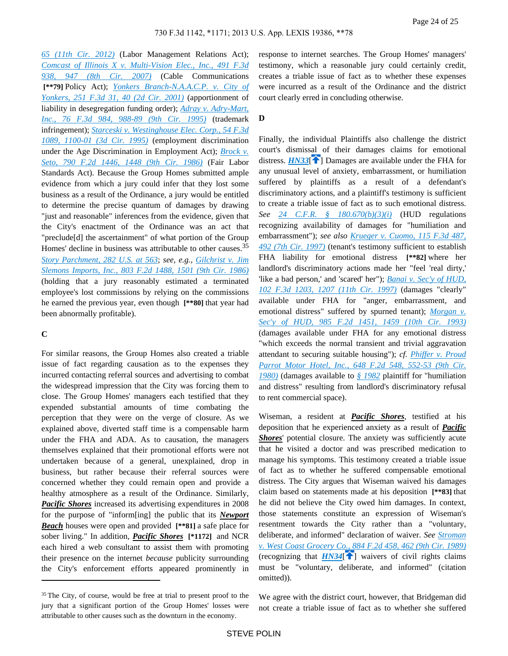*[65 \(11th Cir. 2012\)](https://advance.lexis.com/api/document?collection=cases&id=urn:contentItem:5591-5PB1-F04K-X2B8-00000-00&context=)* (Labor Management Relations Act); *[Comcast of Illinois X v. Multi-Vision Elec., Inc., 491 F.3d](https://advance.lexis.com/api/document?collection=cases&id=urn:contentItem:4P31-N980-TXFX-B1T4-00000-00&context=)  [938, 947 \(8th Cir. 2007\)](https://advance.lexis.com/api/document?collection=cases&id=urn:contentItem:4P31-N980-TXFX-B1T4-00000-00&context=)* (Cable Communications  **[\*\*79]** Policy Act); *[Yonkers Branch-N.A.A.C.P. v. City of](https://advance.lexis.com/api/document?collection=cases&id=urn:contentItem:4313-N020-0038-X2K2-00000-00&context=)  [Yonkers, 251 F.3d 31, 40 \(2d Cir. 2001\)](https://advance.lexis.com/api/document?collection=cases&id=urn:contentItem:4313-N020-0038-X2K2-00000-00&context=)* (apportionment of liability in desegregation funding order); *[Adray v. Adry-Mart,](https://advance.lexis.com/api/document?collection=cases&id=urn:contentItem:3S4X-BBW0-001T-D05F-00000-00&context=)  [Inc., 76 F.3d 984, 988-89 \(9th Cir. 1995\)](https://advance.lexis.com/api/document?collection=cases&id=urn:contentItem:3S4X-BBW0-001T-D05F-00000-00&context=)* (trademark infringement); *[Starceski v. Westinghouse Elec. Corp., 54 F.3d](https://advance.lexis.com/api/document?collection=cases&id=urn:contentItem:3S4X-FDK0-001T-D09F-00000-00&context=)  [1089, 1100-01 \(3d Cir. 1995\)](https://advance.lexis.com/api/document?collection=cases&id=urn:contentItem:3S4X-FDK0-001T-D09F-00000-00&context=)* (employment discrimination under the Age Discrimination in Employment Act); *[Brock v.](https://advance.lexis.com/api/document?collection=cases&id=urn:contentItem:3S4X-58G0-0039-P1VH-00000-00&context=)  [Seto, 790 F.2d 1446, 1448 \(9th Cir. 1986\)](https://advance.lexis.com/api/document?collection=cases&id=urn:contentItem:3S4X-58G0-0039-P1VH-00000-00&context=)* (Fair Labor Standards Act). Because the Group Homes submitted ample evidence from which a jury could infer that they lost some business as a result of the Ordinance, a jury would be entitled to determine the precise quantum of damages by drawing "just and reasonable" inferences from the evidence, given that the City's enactment of the Ordinance was an act that "preclude[d] the ascertainment" of what portion of the Group Homes' decline in business was attributable to other causes.<sup>35</sup> *[Story Parchment, 282 U.S. at 563](https://advance.lexis.com/api/document?collection=cases&id=urn:contentItem:3S4X-DH60-003B-755V-00000-00&context=)*; *see, e.g., [Gilchrist v. Jim](https://advance.lexis.com/api/document?collection=cases&id=urn:contentItem:3S4W-Y3P0-0039-P37V-00000-00&context=)  [Slemons Imports, Inc., 803 F.2d 1488, 1501 \(9th Cir. 1986\)](https://advance.lexis.com/api/document?collection=cases&id=urn:contentItem:3S4W-Y3P0-0039-P37V-00000-00&context=)* (holding that a jury reasonably estimated a terminated employee's lost commissions by relying on the commissions he earned the previous year, even though **[\*\*80]** that year had been abnormally profitable).

### **C**

For similar reasons, the Group Homes also created a triable issue of fact regarding causation as to the expenses they incurred contacting referral sources and advertising to combat the widespread impression that the City was forcing them to close. The Group Homes' managers each testified that they expended substantial amounts of time combating the perception that they were on the verge of closure. As we explained above, diverted staff time is a compensable harm under the FHA and ADA. As to causation, the managers themselves explained that their promotional efforts were not undertaken because of a general, unexplained, drop in business, but rather because their referral sources were concerned whether they could remain open and provide a healthy atmosphere as a result of the Ordinance. Similarly, *Pacific Shores* increased its advertising expenditures in 2008 for the purpose of "inform[ing] the public that its *Newport Beach* houses were open and provided **[\*\*81]** a safe place for sober living." In addition, *Pacific Shores* **[\*1172]** and NCR each hired a web consultant to assist them with promoting their presence on the internet *because* publicity surrounding the City's enforcement efforts appeared prominently in

response to internet searches. The Group Homes' managers' testimony, which a reasonable jury could certainly credit, creates a triable issue of fact as to whether these expenses were incurred as a result of the Ordinance and the district court clearly erred in concluding otherwise.

#### **D**

<span id="page-23-0"></span>Finally, the individual Plaintiffs also challenge the district court's dismissal of their damages claims for emotional distress. *[HN33](https://advance.lexis.com/api/document?collection=cases&id=urn:contentItem:59D4-S301-F04K-V0HG-00000-00&context=&link=clscc33)*<sup>[24]</sup> Damages are available under the FHA for any unusual level of anxiety, embarrassment, or humiliation suffered by plaintiffs as a result of a defendant's discriminatory actions, and a plaintiff's testimony is sufficient to create a triable issue of fact as to such emotional distress. *See [24 C.F.R. § 180.670\(b\)\(3\)\(i\)](https://advance.lexis.com/api/document?collection=administrative-codes&id=urn:contentItem:5K2F-YCH0-008G-Y2CB-00000-00&context=)* (HUD regulations recognizing availability of damages for "humiliation and embarrassment"); *see also [Krueger v. Cuomo, 115 F.3d 487,](https://advance.lexis.com/api/document?collection=cases&id=urn:contentItem:3S4X-GBY0-00B1-D0HH-00000-00&context=)  [492 \(7th Cir. 1997\)](https://advance.lexis.com/api/document?collection=cases&id=urn:contentItem:3S4X-GBY0-00B1-D0HH-00000-00&context=)* (tenant's testimony sufficient to establish FHA liability for emotional distress **[\*\*82]** where her landlord's discriminatory actions made her "feel 'real dirty,' 'like a bad person,' and 'scared' her"); *[Banai v. Sec'y of HUD,](https://advance.lexis.com/api/document?collection=cases&id=urn:contentItem:3S4X-JPW0-00B1-D2GY-00000-00&context=)  [102 F.3d 1203, 1207 \(11th Cir. 1997\)](https://advance.lexis.com/api/document?collection=cases&id=urn:contentItem:3S4X-JPW0-00B1-D2GY-00000-00&context=)* (damages "clearly" available under FHA for "anger, embarrassment, and emotional distress" suffered by spurned tenant); *[Morgan v.](https://advance.lexis.com/api/document?collection=cases&id=urn:contentItem:3S4X-HPJ0-003B-P2NR-00000-00&context=)  [Sec'y of HUD, 985 F.2d 1451, 1459 \(10th Cir. 1993\)](https://advance.lexis.com/api/document?collection=cases&id=urn:contentItem:3S4X-HPJ0-003B-P2NR-00000-00&context=)* (damages available under FHA for any emotional distress "which exceeds the normal transient and trivial aggravation attendant to securing suitable housing"); *cf. [Phiffer v. Proud](https://advance.lexis.com/api/document?collection=cases&id=urn:contentItem:3S4X-7DC0-0039-W4GP-00000-00&context=)  [Parrot Motor Hotel, Inc., 648 F.2d 548, 552-53 \(9th Cir.](https://advance.lexis.com/api/document?collection=cases&id=urn:contentItem:3S4X-7DC0-0039-W4GP-00000-00&context=)  [1980\)](https://advance.lexis.com/api/document?collection=cases&id=urn:contentItem:3S4X-7DC0-0039-W4GP-00000-00&context=)* (damages available to *[§ 1982](https://advance.lexis.com/api/document?collection=statutes-legislation&id=urn:contentItem:4YF7-GKP1-NRF4-42CH-00000-00&context=)* plaintiff for "humiliation and distress" resulting from landlord's discriminatory refusal to rent commercial space).

Wiseman, a resident at *Pacific Shores*, testified at his deposition that he experienced anxiety as a result of *Pacific Shores*' potential closure. The anxiety was sufficiently acute that he visited a doctor and was prescribed medication to manage his symptoms. This testimony created a triable issue of fact as to whether he suffered compensable emotional distress. The City argues that Wiseman waived his damages claim based on statements made at his deposition **[\*\*83]** that he did not believe the City owed him damages. In context, those statements constitute an expression of Wiseman's resentment towards the City rather than a "voluntary, deliberate, and informed" declaration of waiver. *See [Stroman](https://advance.lexis.com/api/document?collection=cases&id=urn:contentItem:3S4X-9J80-003B-51XB-00000-00&context=)  [v. West Coast Grocery Co., 884 F.2d 458, 462 \(9th Cir. 1989\)](https://advance.lexis.com/api/document?collection=cases&id=urn:contentItem:3S4X-9J80-003B-51XB-00000-00&context=)* (recognizing that  $\frac{HN34}{\cdot}$  $\frac{HN34}{\cdot}$  $\frac{HN34}{\cdot}$  waivers of civil rights claims must be "voluntary, deliberate, and informed" (citation omitted)).

<span id="page-23-1"></span>We agree with the district court, however, that Bridgeman did not create a triable issue of fact as to whether she suffered

<sup>&</sup>lt;sup>35</sup>The City, of course, would be free at trial to present proof to the jury that a significant portion of the Group Homes' losses were attributable to other causes such as the downturn in the economy.